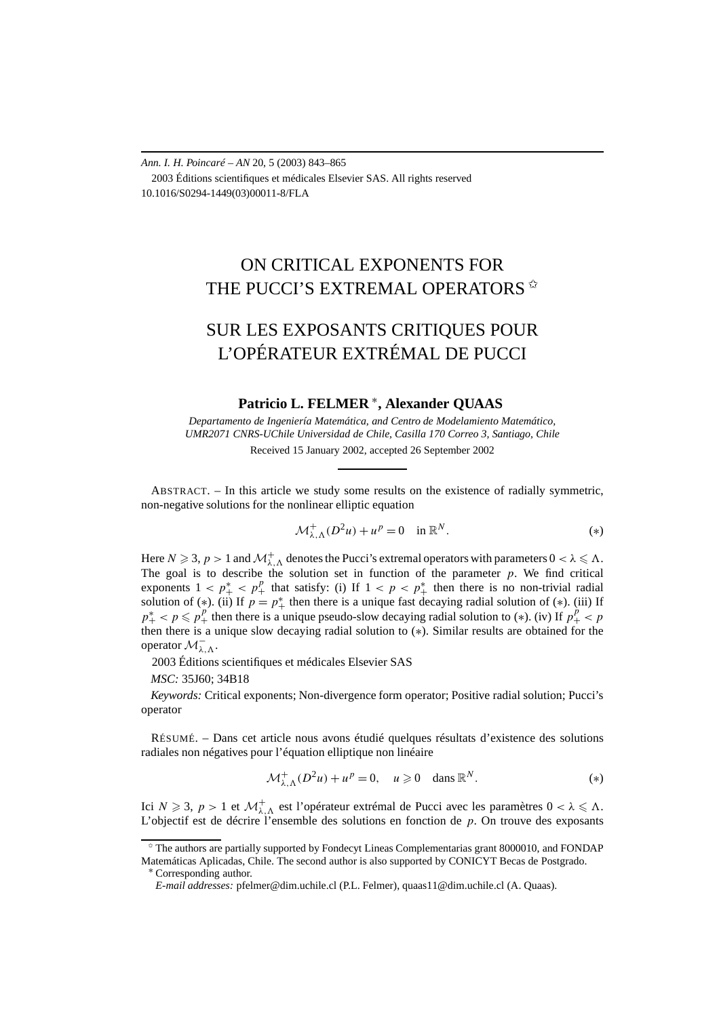*Ann. I. H. Poincaré – AN* 20, 5 (2003) 843–865 2003 Éditions scientifiques et médicales Elsevier SAS. All rights reserved 10.1016/S0294-1449(03)00011-8/FLA

## ON CRITICAL EXPONENTS FOR THE PUCCI'S EXTREMAL OPERATORS  $*$

# SUR LES EXPOSANTS CRITIQUES POUR L'OPÉRATEUR EXTRÉMAL DE PUCCI

## **Patricio L. FELMER** <sup>∗</sup>**, Alexander QUAAS**

*Departamento de Ingeniería Matemática, and Centro de Modelamiento Matemático, UMR2071 CNRS-UChile Universidad de Chile, Casilla 170 Correo 3, Santiago, Chile* Received 15 January 2002, accepted 26 September 2002

ABSTRACT. – In this article we study some results on the existence of radially symmetric, non-negative solutions for the nonlinear elliptic equation

$$
\mathcal{M}^+_{\lambda,\Lambda}(D^2u) + u^p = 0 \quad \text{in } \mathbb{R}^N. \tag{*}
$$

Here  $N \geqslant 3$ ,  $p > 1$  and  $\mathcal{M}^+_{\lambda,\Lambda}$  denotes the Pucci's extremal operators with parameters  $0 < \lambda \leqslant \Lambda$ . The goal is to describe the solution set in function of the parameter  $p$ . We find critical exponents  $1 < p^*$   $\leq p^p$  that satisfy: (i) If  $1 < p < p^*$  then there is no non-trivial radial solution of (\*). (ii) If  $p = p^*$  then there is a unique fast decaying radial solution of (\*). (iii) If  $p^*$  <  $p \leq p^p$  then there is a unique pseudo-slow decaying radial solution to (\*). (iv) If  $p^p + p^p$ then there is a unique slow decaying radial solution to (∗). Similar results are obtained for the operator <sup>M</sup><sup>−</sup> *λ,*.

2003 Éditions scientifiques et médicales Elsevier SAS

*MSC:* 35J60; 34B18

*Keywords:* Critical exponents; Non-divergence form operator; Positive radial solution; Pucci's operator

RÉSUMÉ. – Dans cet article nous avons étudié quelques résultats d'existence des solutions radiales non négatives pour l'équation elliptique non linéaire

$$
\mathcal{M}^+_{\lambda,\Lambda}(D^2u) + u^p = 0, \quad u \geqslant 0 \quad \text{dans } \mathbb{R}^N. \tag{*}
$$

Ici  $N \ge 3$ ,  $p > 1$  et  $\mathcal{M}^+_{\lambda,\Lambda}$  est l'opérateur extrémal de Pucci avec les paramètres  $0 < \lambda \le \Lambda$ . L'objectif est de décrire l'ensemble des solutions en fonction de *p*. On trouve des exposants

 $\dot{\gamma}$  The authors are partially supported by Fondecyt Lineas Complementarias grant 8000010, and FONDAP Matemáticas Aplicadas, Chile. The second author is also supported by CONICYT Becas de Postgrado.

<sup>∗</sup> Corresponding author.

*E-mail addresses:* pfelmer@dim.uchile.cl (P.L. Felmer), quaas11@dim.uchile.cl (A. Quaas).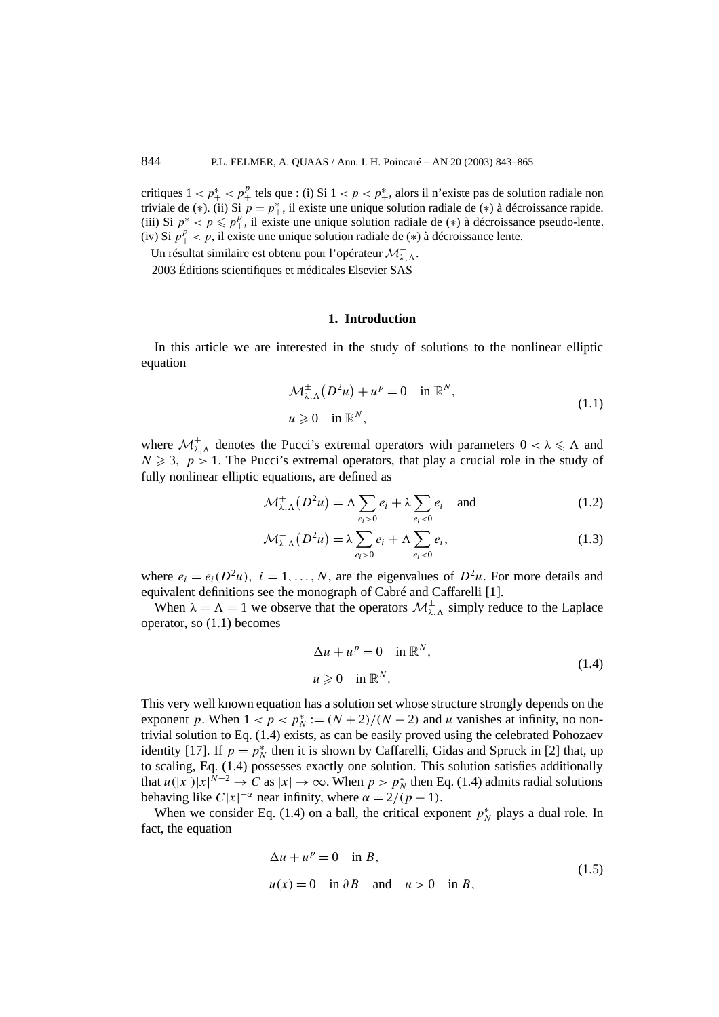critiques  $1 < p^*_{+} < p^p_{+}$  tels que : (i) Si  $1 < p < p^*_{+}$ , alors il n'existe pas de solution radiale non triviale de (∗). (ii) Si  $p = p^*$ , il existe une unique solution radiale de (∗) à décroissance rapide. (iii) Si  $p^* < p \leq p_+^p$ , il existe une unique solution radiale de (\*) à décroissance pseudo-lente. (iv) Si  $p_+^p < p$ , il existe une unique solution radiale de (\*) à décroissance lente.

Un résultat similaire est obtenu pour l'opérateur <sup>M</sup><sup>−</sup> *λ,*.

2003 Éditions scientifiques et médicales Elsevier SAS

#### **1. Introduction**

In this article we are interested in the study of solutions to the nonlinear elliptic equation

$$
\mathcal{M}^{\pm}_{\lambda,\Lambda}(D^2u) + u^p = 0 \quad \text{in } \mathbb{R}^N,
$$
  

$$
u \ge 0 \quad \text{in } \mathbb{R}^N,
$$
 (1.1)

where  $\mathcal{M}_{\lambda,\Lambda}^{\pm}$  denotes the Pucci's extremal operators with parameters  $0 < \lambda \le \Lambda$  and  $N \geq 3$ ,  $p > 1$ . The Pucci's extremal operators, that play a crucial role in the study of fully nonlinear elliptic equations, are defined as

$$
\mathcal{M}^+_{\lambda,\Lambda}(D^2u) = \Lambda \sum_{e_i>0} e_i + \lambda \sum_{e_i<0} e_i \quad \text{and} \tag{1.2}
$$

$$
\mathcal{M}_{\lambda,\Lambda}^{-}(D^2 u) = \lambda \sum_{e_i > 0} e_i + \Lambda \sum_{e_i < 0} e_i, \qquad (1.3)
$$

where  $e_i = e_i(D^2u)$ ,  $i = 1, ..., N$ , are the eigenvalues of  $D^2u$ . For more details and equivalent definitions see the monograph of Cabré and Caffarelli [1].

When  $\lambda = \Lambda = 1$  we observe that the operators  $\mathcal{M}^{\pm}_{\lambda, \Lambda}$  simply reduce to the Laplace operator, so (1.1) becomes

$$
\Delta u + u^p = 0 \quad \text{in } \mathbb{R}^N,
$$
  

$$
u \ge 0 \quad \text{in } \mathbb{R}^N.
$$
 (1.4)

This very well known equation has a solution set whose structure strongly depends on the exponent *p*. When  $1 < p < p_N^* := (N + 2)/(N - 2)$  and *u* vanishes at infinity, no nontrivial solution to Eq. (1.4) exists, as can be easily proved using the celebrated Pohozaev identity [17]. If  $p = p_N^*$  then it is shown by Caffarelli, Gidas and Spruck in [2] that, up to scaling, Eq. (1.4) possesses exactly one solution. This solution satisfies additionally that  $u(|x|)|x|^{N-2} \to C$  as  $|x| \to \infty$ . When  $p > p_N^*$  then Eq. (1.4) admits radial solutions behaving like  $C|x|^{-\alpha}$  near infinity, where  $\alpha = 2/(p-1)$ .

When we consider Eq. (1.4) on a ball, the critical exponent  $p_N^*$  plays a dual role. In fact, the equation

$$
\Delta u + u^{p} = 0 \quad \text{in } B,
$$
  
 
$$
u(x) = 0 \quad \text{in } \partial B \quad \text{and} \quad u > 0 \quad \text{in } B,
$$
 (1.5)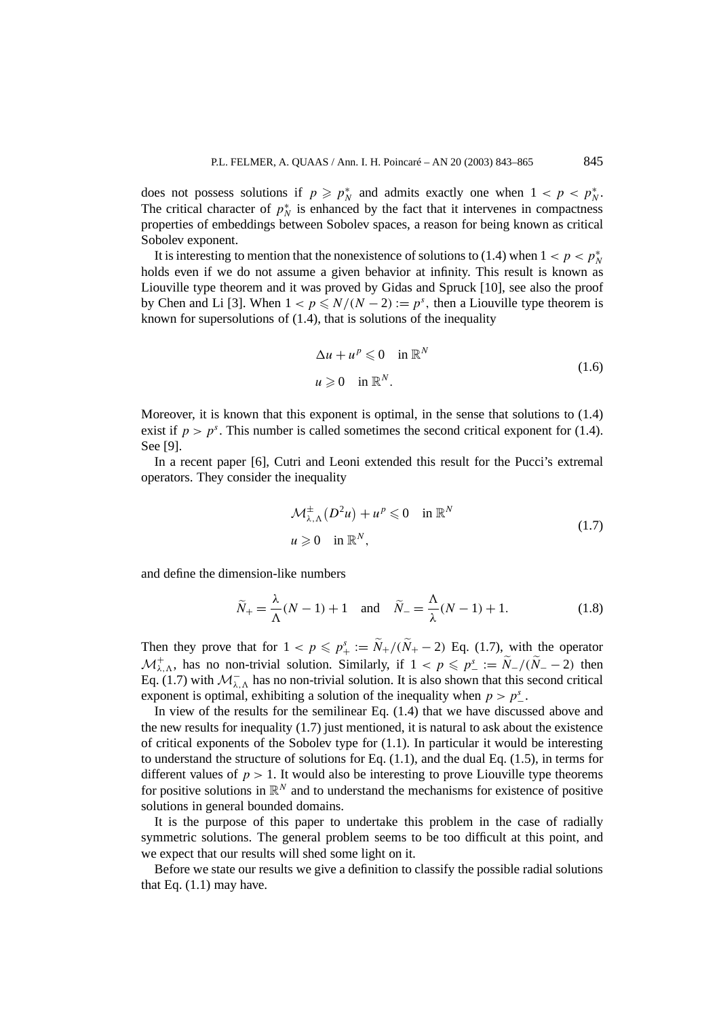does not possess solutions if  $p \geq p_N^*$  and admits exactly one when  $1 < p < p_N^*$ . The critical character of  $p_N^*$  is enhanced by the fact that it intervenes in compactness properties of embeddings between Sobolev spaces, a reason for being known as critical Sobolev exponent.

It is interesting to mention that the nonexistence of solutions to (1.4) when  $1 < p < p_N^*$ holds even if we do not assume a given behavior at infinity. This result is known as Liouville type theorem and it was proved by Gidas and Spruck [10], see also the proof by Chen and Li [3]. When  $1 < p \le N/(N-2) := p<sup>s</sup>$ , then a Liouville type theorem is known for supersolutions of (1.4), that is solutions of the inequality

$$
\Delta u + u^p \leq 0 \quad \text{in } \mathbb{R}^N
$$
  

$$
u \geq 0 \quad \text{in } \mathbb{R}^N.
$$
 (1.6)

Moreover, it is known that this exponent is optimal, in the sense that solutions to (1.4) exist if  $p > p<sup>s</sup>$ . This number is called sometimes the second critical exponent for (1.4). See [9].

In a recent paper [6], Cutri and Leoni extended this result for the Pucci's extremal operators. They consider the inequality

$$
\mathcal{M}^{\pm}_{\lambda,\Lambda}(D^2u) + u^p \leq 0 \quad \text{in } \mathbb{R}^N
$$
  

$$
u \geq 0 \quad \text{in } \mathbb{R}^N,
$$
 (1.7)

and define the dimension-like numbers

$$
\widetilde{N}_{+} = \frac{\lambda}{\Lambda}(N-1) + 1 \quad \text{and} \quad \widetilde{N}_{-} = \frac{\Lambda}{\lambda}(N-1) + 1. \tag{1.8}
$$

Then they prove that for  $1 < p \leq p_+^s := \widetilde{N}_+ / (\widetilde{N}_+ - 2)$  Eq. (1.7), with the operator  $\mathcal{M}^+_{\lambda,\Lambda}$ , has no non-trivial solution. Similarly, if  $1 < p \leqslant p^s_- := \tilde{N}_-/(\tilde{N}_- - 2)$  then Eq. (1.7) with  $\mathcal{M}_{\lambda,\Lambda}^-$  has no non-trivial solution. It is also shown that this second critical exponent is optimal, exhibiting a solution of the inequality when  $p > p^s$ .

In view of the results for the semilinear Eq. (1.4) that we have discussed above and the new results for inequality  $(1.7)$  just mentioned, it is natural to ask about the existence of critical exponents of the Sobolev type for (1.1). In particular it would be interesting to understand the structure of solutions for Eq.  $(1.1)$ , and the dual Eq.  $(1.5)$ , in terms for different values of  $p > 1$ . It would also be interesting to prove Liouville type theorems for positive solutions in  $\mathbb{R}^N$  and to understand the mechanisms for existence of positive solutions in general bounded domains.

It is the purpose of this paper to undertake this problem in the case of radially symmetric solutions. The general problem seems to be too difficult at this point, and we expect that our results will shed some light on it.

Before we state our results we give a definition to classify the possible radial solutions that Eq.  $(1.1)$  may have.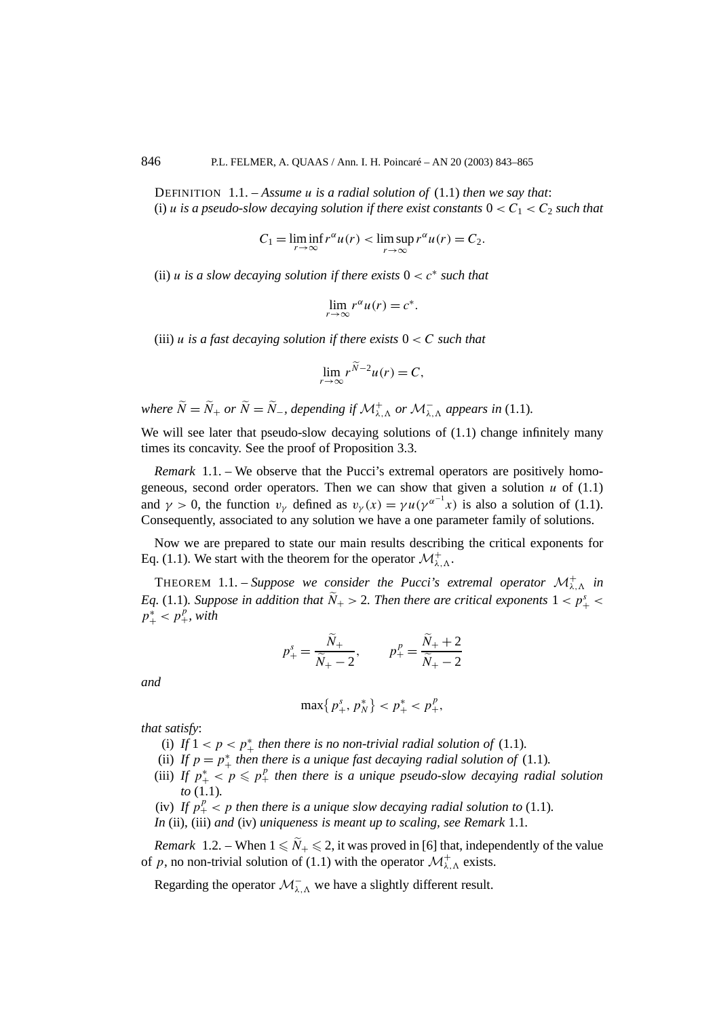DEFINITION 1.1. – *Assume u is a radial solution of* (1.1) *then we say that*: (i) *u is a pseudo-slow decaying solution if there exist constants*  $0 < C_1 < C_2$  *such that* 

$$
C_1 = \liminf_{r \to \infty} r^{\alpha} u(r) < \limsup_{r \to \infty} r^{\alpha} u(r) = C_2.
$$

(ii) *u* is a slow decaying solution if there exists  $0 < c^*$  such that

$$
\lim_{r \to \infty} r^{\alpha} u(r) = c^*.
$$

(iii) *u* is a fast decaying solution if there exists  $0 < C$  such that

$$
\lim_{r \to \infty} r^{\widetilde{N}-2} u(r) = C,
$$

*where*  $\widetilde{N} = \widetilde{N}_+$  *or*  $\widetilde{N} = \widetilde{N}_-$ *, depending if*  $\mathcal{M}^+_{\lambda, \Lambda}$  *or*  $\mathcal{M}^-_{\lambda, \Lambda}$  *appears in* (1.1)*.* 

We will see later that pseudo-slow decaying solutions of  $(1.1)$  change infinitely many times its concavity. See the proof of Proposition 3.3.

*Remark* 1.1. – We observe that the Pucci's extremal operators are positively homogeneous, second order operators. Then we can show that given a solution  $u$  of  $(1.1)$ and  $\gamma > 0$ , the function  $v_{\gamma}$  defined as  $v_{\gamma}(x) = \gamma u(\gamma^{\alpha^{-1}}x)$  is also a solution of (1.1). Consequently, associated to any solution we have a one parameter family of solutions.

Now we are prepared to state our main results describing the critical exponents for Eq. (1.1). We start with the theorem for the operator  $\mathcal{M}^+_{\lambda,\Lambda}$ .

**THEOREM** 1.1. – *Suppose we consider the Pucci's extremal operator*  $\mathcal{M}^+_{\lambda,\Lambda}$  *in Eq.* (1.1)*. Suppose in addition that*  $\tilde{N}_+$  > 2*. Then there are critical exponents*  $1 < p^s_+$  <  $p_{+}^{*} < p_{+}^{p}$ , with

$$
p_+^s = \frac{\widetilde{N}_+}{\widetilde{N}_+ - 2}, \qquad p_+^p = \frac{\widetilde{N}_+ + 2}{\widetilde{N}_+ - 2}
$$

*and*

$$
\max\{p_+^s, p_N^*\} < p_+^* < p_+^p,
$$

*that satisfy*:

- (i) If  $1 < p < p^*$  *then there is no non-trivial radial solution of* (1.1)*.*
- (ii) If  $p = p^*$  *then there is a unique fast decaying radial solution of* (1.1)*.*
- (iii) If  $p^*_{+} < p \leq p^p_{+}$  then there is a unique pseudo-slow decaying radial solution *to* (1.1)*.*
- (iv) If  $p_+^p$  < p then there is a unique slow decaying radial solution to (1.1).

*In* (ii), (iii) *and* (iv) *uniqueness is meant up to scaling, see Remark* 1.1*.*

*Remark* 1.2. – When  $1 \leq N_+ \leq 2$ , it was proved in [6] that, independently of the value of *p*, no non-trivial solution of (1.1) with the operator  $\mathcal{M}^+_{\lambda,\Lambda}$  exists.

Regarding the operator  $\mathcal{M}^-_{\lambda,\Lambda}$  we have a slightly different result.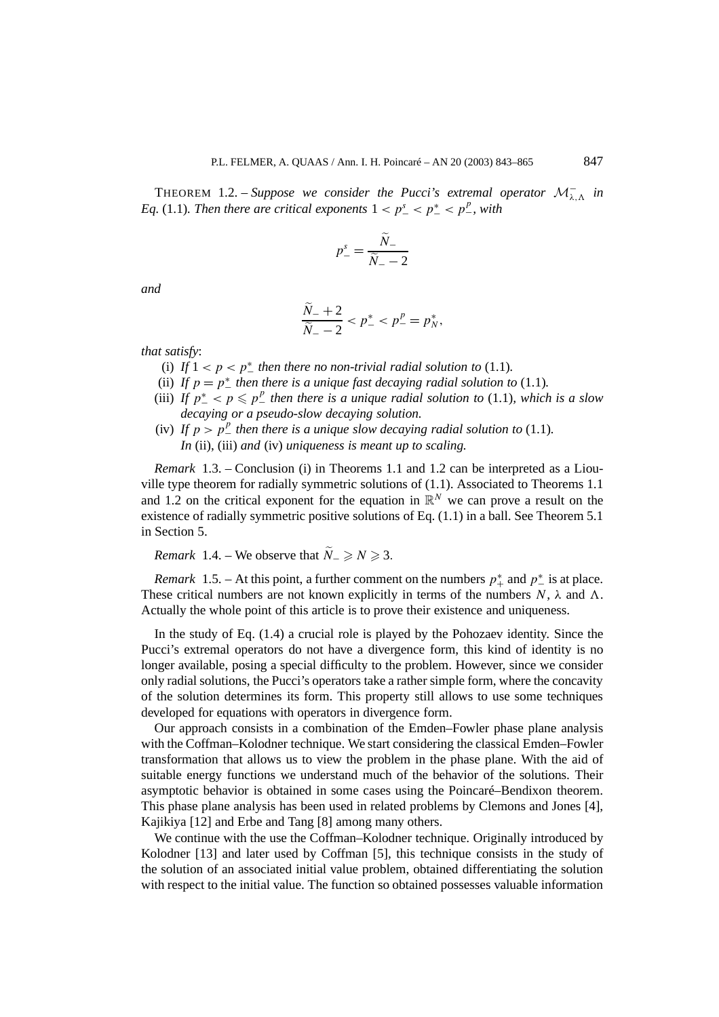THEOREM 1.2. – *Suppose we consider the Pucci's extremal operator*  $\mathcal{M}_{\lambda,\Lambda}^-$  *in Eq.* (1.1)*. Then there are critical exponents*  $1 < p^s$ <sub>-</sub>  $< p^s$ <sub>-</sub> $< p^s$ <sub>-</sub> $> p^p$ <sub>-</sub>*, with* 

$$
p_{-}^{s} = \frac{\tilde{N}_{-}}{\tilde{N}_{-} - 2}
$$

*and*

$$
\frac{\tilde{N}_{-}+2}{\tilde{N}_{-}-2} < p_{-}^* < p_{-}^p = p_N^*,
$$

*that satisfy*:

- (i) If  $1 < p < p^*$  then there no non-trivial radial solution to (1.1).
- (ii) If  $p = p^*$  *then there is a unique fast decaying radial solution to* (1.1)*.*
- (iii) If  $p^*$   $\leq$   $p \leq p^p$  then there is a unique radial solution to (1.1), which is a slow *decaying or a pseudo-slow decaying solution.*
- (iv) If  $p > p^p$  then there is a unique slow decaying radial solution to (1.1). *In* (ii), (iii) *and* (iv) *uniqueness is meant up to scaling.*

*Remark* 1.3. – Conclusion (i) in Theorems 1.1 and 1.2 can be interpreted as a Liouville type theorem for radially symmetric solutions of (1.1). Associated to Theorems 1.1 and 1.2 on the critical exponent for the equation in  $\mathbb{R}^N$  we can prove a result on the existence of radially symmetric positive solutions of Eq. (1.1) in a ball. See Theorem 5.1 in Section 5.

*Remark* 1.4. – We observe that  $\widetilde{N}_- \ge N \ge 3$ .

*Remark* 1.5. – At this point, a further comment on the numbers  $p^*$  and  $p^*$  is at place. These critical numbers are not known explicitly in terms of the numbers  $N$ ,  $\lambda$  and  $\Lambda$ . Actually the whole point of this article is to prove their existence and uniqueness.

In the study of Eq. (1.4) a crucial role is played by the Pohozaev identity. Since the Pucci's extremal operators do not have a divergence form, this kind of identity is no longer available, posing a special difficulty to the problem. However, since we consider only radial solutions, the Pucci's operators take a rather simple form, where the concavity of the solution determines its form. This property still allows to use some techniques developed for equations with operators in divergence form.

Our approach consists in a combination of the Emden–Fowler phase plane analysis with the Coffman–Kolodner technique. We start considering the classical Emden–Fowler transformation that allows us to view the problem in the phase plane. With the aid of suitable energy functions we understand much of the behavior of the solutions. Their asymptotic behavior is obtained in some cases using the Poincaré–Bendixon theorem. This phase plane analysis has been used in related problems by Clemons and Jones [4], Kajikiya [12] and Erbe and Tang [8] among many others.

We continue with the use the Coffman–Kolodner technique. Originally introduced by Kolodner [13] and later used by Coffman [5], this technique consists in the study of the solution of an associated initial value problem, obtained differentiating the solution with respect to the initial value. The function so obtained possesses valuable information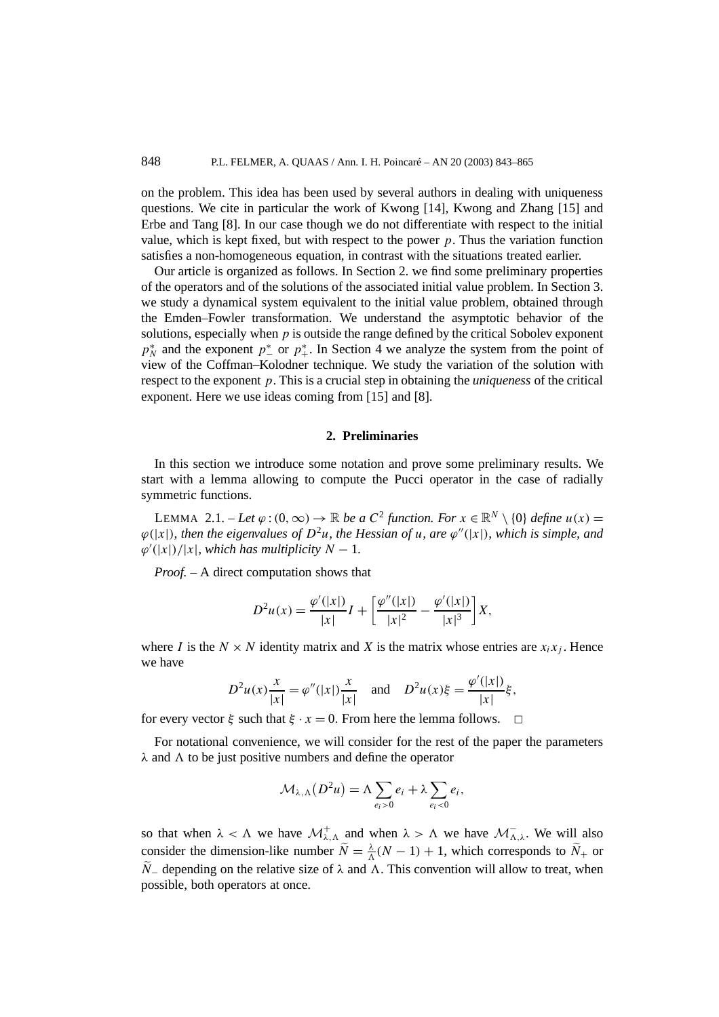on the problem. This idea has been used by several authors in dealing with uniqueness questions. We cite in particular the work of Kwong [14], Kwong and Zhang [15] and Erbe and Tang [8]. In our case though we do not differentiate with respect to the initial value, which is kept fixed, but with respect to the power  $p$ . Thus the variation function satisfies a non-homogeneous equation, in contrast with the situations treated earlier.

Our article is organized as follows. In Section 2. we find some preliminary properties of the operators and of the solutions of the associated initial value problem. In Section 3. we study a dynamical system equivalent to the initial value problem, obtained through the Emden–Fowler transformation. We understand the asymptotic behavior of the solutions, especially when *p* is outside the range defined by the critical Sobolev exponent  $p_N^*$  and the exponent  $p_{-}^*$  or  $p_{+}^*$ . In Section 4 we analyze the system from the point of view of the Coffman–Kolodner technique. We study the variation of the solution with respect to the exponent *p*. This is a crucial step in obtaining the *uniqueness* of the critical exponent. Here we use ideas coming from [15] and [8].

#### **2. Preliminaries**

In this section we introduce some notation and prove some preliminary results. We start with a lemma allowing to compute the Pucci operator in the case of radially symmetric functions.

LEMMA 2.1. − *Let*  $\varphi$  :  $(0, \infty)$  → R *be a*  $C^2$  *function. For*  $x \in \mathbb{R}^N \setminus \{0\}$  *define*  $u(x) =$  $\varphi(|x|)$ *, then the eigenvalues of*  $D^2u$ *, the Hessian of u, are*  $\varphi''(|x|)$ *, which is simple, and*  $\varphi'(|x|)/|x|$ *, which has multiplicity*  $N-1$ *.* 

*Proof. –* A direct computation shows that

$$
D^{2}u(x) = \frac{\varphi'(|x|)}{|x|}I + \left[\frac{\varphi''(|x|)}{|x|^{2}} - \frac{\varphi'(|x|)}{|x|^{3}}\right]X,
$$

where *I* is the  $N \times N$  identity matrix and *X* is the matrix whose entries are  $x_i x_j$ . Hence we have

$$
D^{2}u(x)\frac{x}{|x|} = \varphi''(|x|)\frac{x}{|x|} \quad \text{and} \quad D^{2}u(x)\xi = \frac{\varphi'(|x|)}{|x|}\xi,
$$

for every vector  $\xi$  such that  $\xi \cdot x = 0$ . From here the lemma follows.  $\Box$ 

For notational convenience, we will consider for the rest of the paper the parameters  $\lambda$  and  $\Lambda$  to be just positive numbers and define the operator

$$
\mathcal{M}_{\lambda,\Lambda}(D^2u)=\Lambda\sum_{e_i>0}e_i+\lambda\sum_{e_i<0}e_i,
$$

so that when  $\lambda < \Lambda$  we have  $\mathcal{M}^+_{\lambda, \Lambda}$  and when  $\lambda > \Lambda$  we have  $\mathcal{M}^-_{\Lambda, \lambda}$ . We will also consider the dimension-like number  $\widetilde{N} = \frac{\lambda}{\Lambda}(N-1) + 1$ , which corresponds to  $\widetilde{N}_+$  or  $\widetilde{N}_-$  depending on the relative size of  $\lambda$  and  $\Lambda$ . This convention will allow to treat, when possible, both operators at once.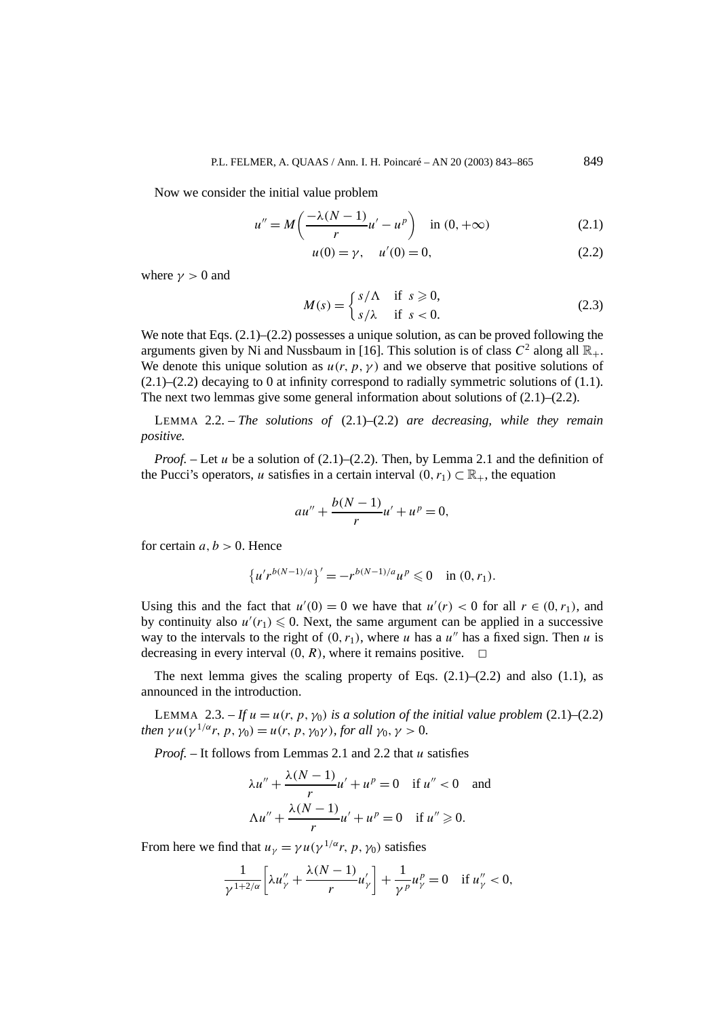Now we consider the initial value problem

$$
u'' = M\left(\frac{-\lambda(N-1)}{r}u' - u^p\right) \quad \text{in } (0, +\infty)
$$
 (2.1)

$$
u(0) = \gamma, \quad u'(0) = 0,\tag{2.2}
$$

where  $\gamma > 0$  and

$$
M(s) = \begin{cases} s/\Lambda & \text{if } s \ge 0, \\ s/\lambda & \text{if } s < 0. \end{cases}
$$
 (2.3)

We note that Eqs.  $(2.1)$ – $(2.2)$  possesses a unique solution, as can be proved following the arguments given by Ni and Nussbaum in [16]. This solution is of class  $C^2$  along all  $\mathbb{R}_+$ . We denote this unique solution as  $u(r, p, \gamma)$  and we observe that positive solutions of  $(2.1)$ – $(2.2)$  decaying to 0 at infinity correspond to radially symmetric solutions of  $(1.1)$ . The next two lemmas give some general information about solutions of  $(2.1)$ – $(2.2)$ .

LEMMA 2.2. – *The solutions of* (2.1)–(2.2) *are decreasing, while they remain positive.*

*Proof. –* Let *u* be a solution of (2.1)–(2.2). Then, by Lemma 2.1 and the definition of the Pucci's operators, *u* satisfies in a certain interval  $(0, r_1) \subset \mathbb{R}_+$ , the equation

$$
au'' + \frac{b(N-1)}{r}u' + u^p = 0,
$$

for certain  $a, b > 0$ . Hence

$$
{u'r^{b(N-1)/a}}' = -r^{b(N-1)/a}u^p \leq 0 \quad \text{in } (0, r_1).
$$

Using this and the fact that  $u'(0) = 0$  we have that  $u'(r) < 0$  for all  $r \in (0, r_1)$ , and by continuity also  $u'(r_1) \leq 0$ . Next, the same argument can be applied in a successive way to the intervals to the right of  $(0, r_1)$ , where *u* has a *u*<sup>*''*</sup> has a fixed sign. Then *u* is decreasing in every interval  $(0, R)$ , where it remains positive.  $\Box$ 

The next lemma gives the scaling property of Eqs.  $(2.1)$ – $(2.2)$  and also  $(1.1)$ , as announced in the introduction.

LEMMA 2.3. – If  $u = u(r, p, \gamma_0)$  is a solution of the initial value problem (2.1)–(2.2) *then*  $\gamma u(\gamma^{1/\alpha}r, p, \gamma_0) = u(r, p, \gamma_0 \gamma)$ *, for all*  $\gamma_0, \gamma > 0$ *.* 

*Proof. –* It follows from Lemmas 2.1 and 2.2 that *u* satisfies

$$
\lambda u'' + \frac{\lambda (N-1)}{r} u' + u^p = 0 \quad \text{if } u'' < 0 \quad \text{and}
$$

$$
\Delta u'' + \frac{\lambda (N-1)}{r} u' + u^p = 0 \quad \text{if } u'' \ge 0.
$$

From here we find that  $u_{\gamma} = \gamma u(\gamma^{1/\alpha}r, p, \gamma_0)$  satisfies

$$
\frac{1}{\gamma^{1+2/\alpha}} \left[ \lambda u''_{\gamma} + \frac{\lambda (N-1)}{r} u'_{\gamma} \right] + \frac{1}{\gamma p} u''_{\gamma} = 0 \quad \text{if } u''_{\gamma} < 0,
$$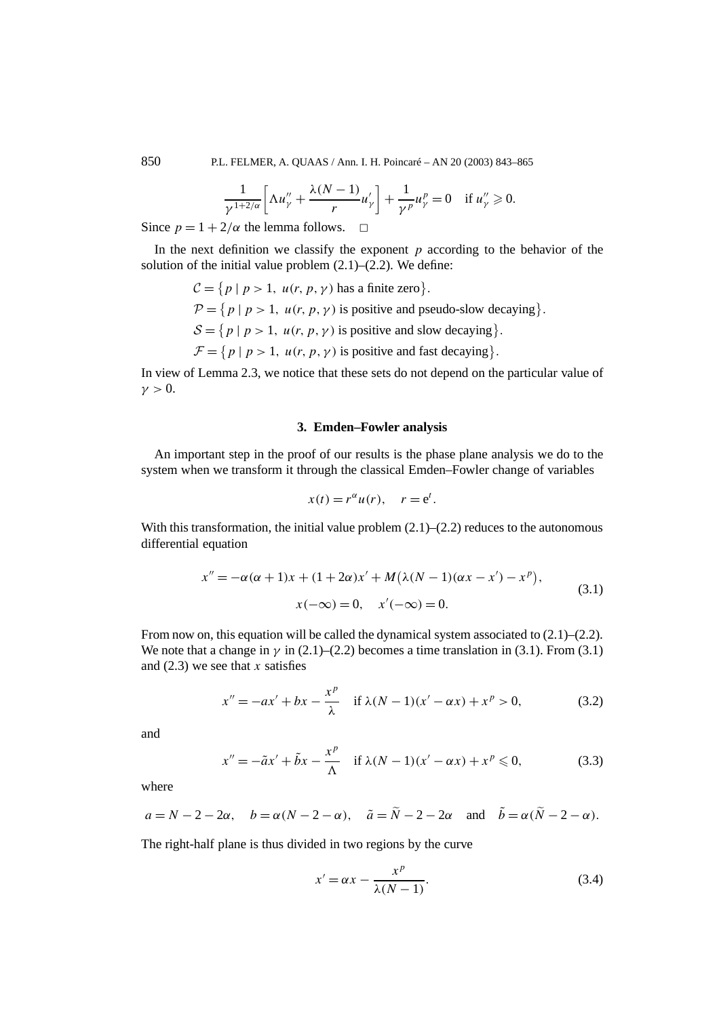850 P.L. FELMER, A. QUAAS / Ann. I. H. Poincaré – AN 20 (2003) 843–865

$$
\frac{1}{\gamma^{1+2/\alpha}} \left[ \Lambda u''_{\gamma} + \frac{\lambda(N-1)}{r} u'_{\gamma} \right] + \frac{1}{\gamma^p} u''_{\gamma} = 0 \quad \text{if } u''_{\gamma} \geq 0.
$$

Since  $p = 1 + 2/\alpha$  the lemma follows.  $\Box$ 

In the next definition we classify the exponent *p* according to the behavior of the solution of the initial value problem  $(2.1)$ – $(2.2)$ . We define:

> $C = \{ p \mid p > 1, u(r, p, \gamma) \text{ has a finite zero} \}.$  $P = \{ p \mid p > 1, u(r, p, \gamma) \text{ is positive and pseudo-slow decaying} \}.$  $S = \{ p \mid p > 1, u(r, p, \gamma) \text{ is positive and slow decaying} \}.$  $\mathcal{F} = \{ p \mid p > 1, u(r, p, \gamma) \text{ is positive and fast decaying} \}.$

In view of Lemma 2.3, we notice that these sets do not depend on the particular value of  $\nu > 0$ .

#### **3. Emden–Fowler analysis**

An important step in the proof of our results is the phase plane analysis we do to the system when we transform it through the classical Emden–Fowler change of variables

$$
x(t) = r^{\alpha} u(r), \quad r = e^t.
$$

With this transformation, the initial value problem  $(2.1)$ – $(2.2)$  reduces to the autonomous differential equation

$$
x'' = -\alpha(\alpha + 1)x + (1 + 2\alpha)x' + M(\lambda(N - 1)(\alpha x - x') - x^{p}),
$$
  
\n
$$
x(-\infty) = 0, \quad x'(-\infty) = 0.
$$
\n(3.1)

From now on, this equation will be called the dynamical system associated to  $(2.1)$ – $(2.2)$ . We note that a change in  $\gamma$  in (2.1)–(2.2) becomes a time translation in (3.1). From (3.1) and (2.3) we see that *x* satisfies

$$
x'' = -ax' + bx - \frac{x^p}{\lambda} \quad \text{if } \lambda(N-1)(x'-\alpha x) + x^p > 0,
$$
 (3.2)

and

$$
x'' = -\tilde{a}x' + \tilde{b}x - \frac{x^p}{\Lambda} \quad \text{if } \lambda(N-1)(x'-\alpha x) + x^p \leq 0,
$$
 (3.3)

where

$$
a = N - 2 - 2\alpha
$$
,  $b = \alpha(N - 2 - \alpha)$ ,  $\tilde{a} = \tilde{N} - 2 - 2\alpha$  and  $\tilde{b} = \alpha(\tilde{N} - 2 - \alpha)$ .

The right-half plane is thus divided in two regions by the curve

$$
x' = \alpha x - \frac{x^p}{\lambda (N-1)}.
$$
\n(3.4)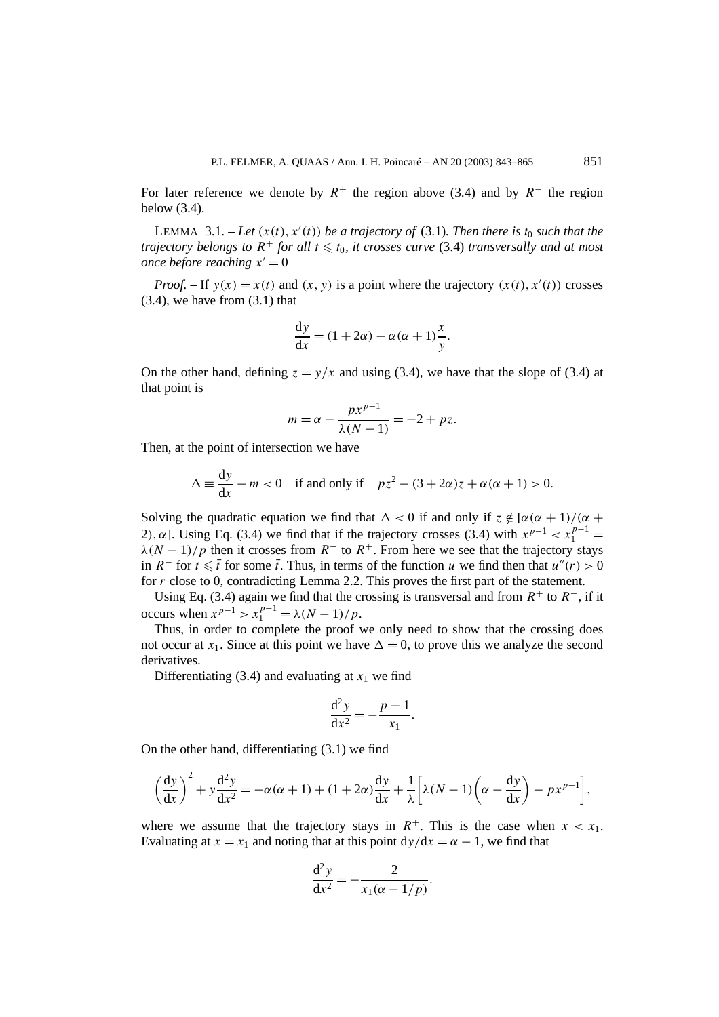For later reference we denote by  $R^+$  the region above (3.4) and by  $R^-$  the region below (3.4).

LEMMA 3.1.  $-$  *Let*  $(x(t), x'(t))$  *be a trajectory of* (3.1)*. Then there is*  $t_0$  *such that the trajectory belongs to*  $R^+$  *for all*  $t \le t_0$ , *it crosses curve* (3.4) *transversally and at most once before reaching*  $x' = 0$ 

*Proof.* – If  $y(x) = x(t)$  and  $(x, y)$  is a point where the trajectory  $(x(t), x'(t))$  crosses  $(3.4)$ , we have from  $(3.1)$  that

$$
\frac{dy}{dx} = (1 + 2\alpha) - \alpha(\alpha + 1)\frac{x}{y}.
$$

On the other hand, defining  $z = y/x$  and using (3.4), we have that the slope of (3.4) at that point is

$$
m = \alpha - \frac{px^{p-1}}{\lambda(N-1)} = -2 + pz.
$$

Then, at the point of intersection we have

$$
\Delta \equiv \frac{dy}{dx} - m < 0 \quad \text{if and only if} \quad pz^2 - (3 + 2\alpha)z + \alpha(\alpha + 1) > 0.
$$

Solving the quadratic equation we find that  $\Delta < 0$  if and only if  $z \notin [\alpha(\alpha + 1)/(\alpha +$ 2),  $\alpha$ ]. Using Eq. (3.4) we find that if the trajectory crosses (3.4) with  $x^{p-1} < x_1^{p-1} =$  $\lambda(N-1)/p$  then it crosses from  $R^-$  to  $R^+$ . From here we see that the trajectory stays in *R*<sup>−</sup> for *t*  $\leq \overline{t}$  for some  $\overline{t}$ . Thus, in terms of the function *u* we find then that *u''*(*r*) > 0 for *r* close to 0, contradicting Lemma 2.2. This proves the first part of the statement.

Using Eq. (3.4) again we find that the crossing is transversal and from  $R^+$  to  $R^-$ , if it occurs when  $x^{p-1} > x_1^{p-1} = \lambda (N-1)/p$ .

Thus, in order to complete the proof we only need to show that the crossing does not occur at  $x_1$ . Since at this point we have  $\Delta = 0$ , to prove this we analyze the second derivatives.

Differentiating (3.4) and evaluating at  $x_1$  we find

$$
\frac{\mathrm{d}^2 y}{\mathrm{d}x^2} = -\frac{p-1}{x_1}.
$$

On the other hand, differentiating (3.1) we find

$$
\left(\frac{dy}{dx}\right)^2 + y\frac{d^2y}{dx^2} = -\alpha(\alpha+1) + (1+2\alpha)\frac{dy}{dx} + \frac{1}{\lambda}\left[\lambda(N-1)\left(\alpha - \frac{dy}{dx}\right) - px^{p-1}\right],
$$

where we assume that the trajectory stays in  $R^+$ . This is the case when  $x < x_1$ . Evaluating at  $x = x_1$  and noting that at this point  $dy/dx = \alpha - 1$ , we find that

$$
\frac{d^2 y}{dx^2} = -\frac{2}{x_1(\alpha - 1/p)}.
$$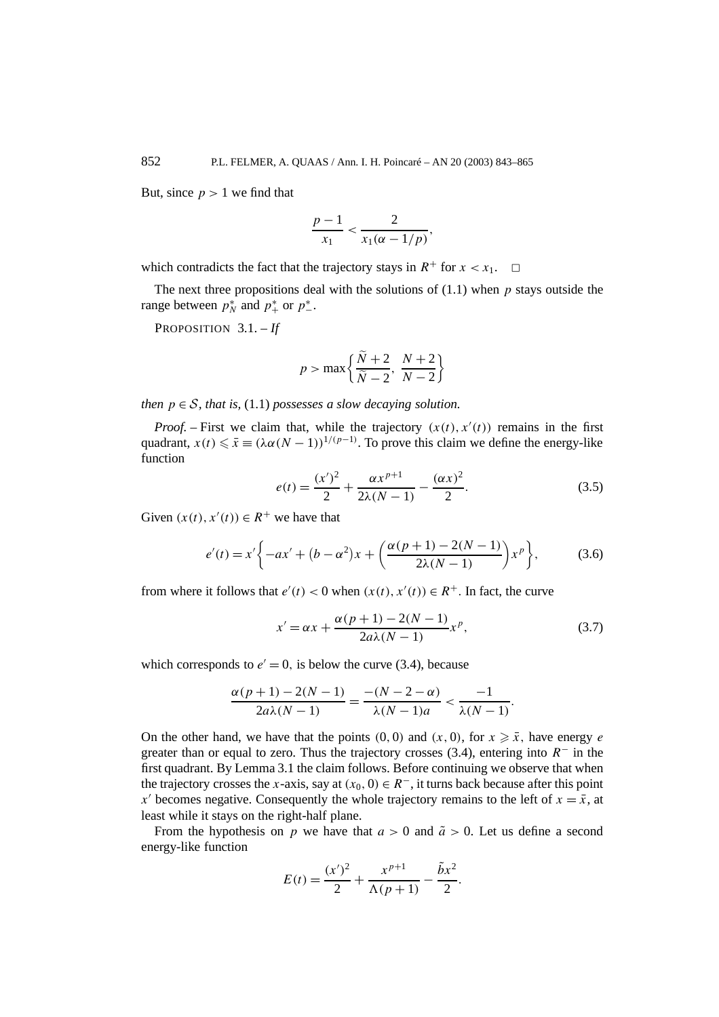But, since  $p > 1$  we find that

$$
\frac{p-1}{x_1} < \frac{2}{x_1(\alpha - 1/p)},
$$

which contradicts the fact that the trajectory stays in  $R^+$  for  $x < x_1$ .  $\Box$ 

The next three propositions deal with the solutions of (1.1) when *p* stays outside the range between  $p_N^*$  and  $p_+^*$  or  $p_-^*$ .

PROPOSITION 3.1. – *If*

$$
p > \max\left\{\frac{\widetilde{N} + 2}{\widetilde{N} - 2}, \frac{N + 2}{N - 2}\right\}
$$

*then*  $p \in S$ *, that is,* (1.1) *possesses a slow decaying solution.* 

*Proof.* – First we claim that, while the trajectory  $(x(t), x'(t))$  remains in the first quadrant,  $x(t) \le \overline{x} \equiv (\lambda \alpha (N-1))^{1/(p-1)}$ . To prove this claim we define the energy-like function

$$
e(t) = \frac{(x')^{2}}{2} + \frac{\alpha x^{p+1}}{2\lambda(N-1)} - \frac{(\alpha x)^{2}}{2}.
$$
 (3.5)

Given  $(x(t), x'(t)) \in R^+$  we have that

$$
e'(t) = x' \bigg\{ -ax' + (b - \alpha^2)x + \bigg(\frac{\alpha(p+1) - 2(N-1)}{2\lambda(N-1)}\bigg)x^p \bigg\},
$$
(3.6)

from where it follows that  $e'(t) < 0$  when  $(x(t), x'(t)) \in R^+$ . In fact, the curve

$$
x' = \alpha x + \frac{\alpha (p+1) - 2(N-1)}{2a\lambda (N-1)} x^p,
$$
\n(3.7)

which corresponds to  $e' = 0$ , is below the curve (3.4), because

$$
\frac{\alpha(p+1) - 2(N-1)}{2a\lambda(N-1)} = \frac{-(N-2-\alpha)}{\lambda(N-1)a} < \frac{-1}{\lambda(N-1)}.
$$

On the other hand, we have that the points  $(0, 0)$  and  $(x, 0)$ , for  $x \ge \bar{x}$ , have energy *e* greater than or equal to zero. Thus the trajectory crosses (3.4), entering into *R*<sup>−</sup> in the first quadrant. By Lemma 3.1 the claim follows. Before continuing we observe that when the trajectory crosses the *x*-axis, say at  $(x_0, 0) \in R^-$ , it turns back because after this point *x*' becomes negative. Consequently the whole trajectory remains to the left of  $x = \bar{x}$ , at least while it stays on the right-half plane.

From the hypothesis on *p* we have that  $a > 0$  and  $\tilde{a} > 0$ . Let us define a second energy-like function

$$
E(t) = \frac{(x')^{2}}{2} + \frac{x^{p+1}}{\Lambda(p+1)} - \frac{\tilde{b}x^{2}}{2}.
$$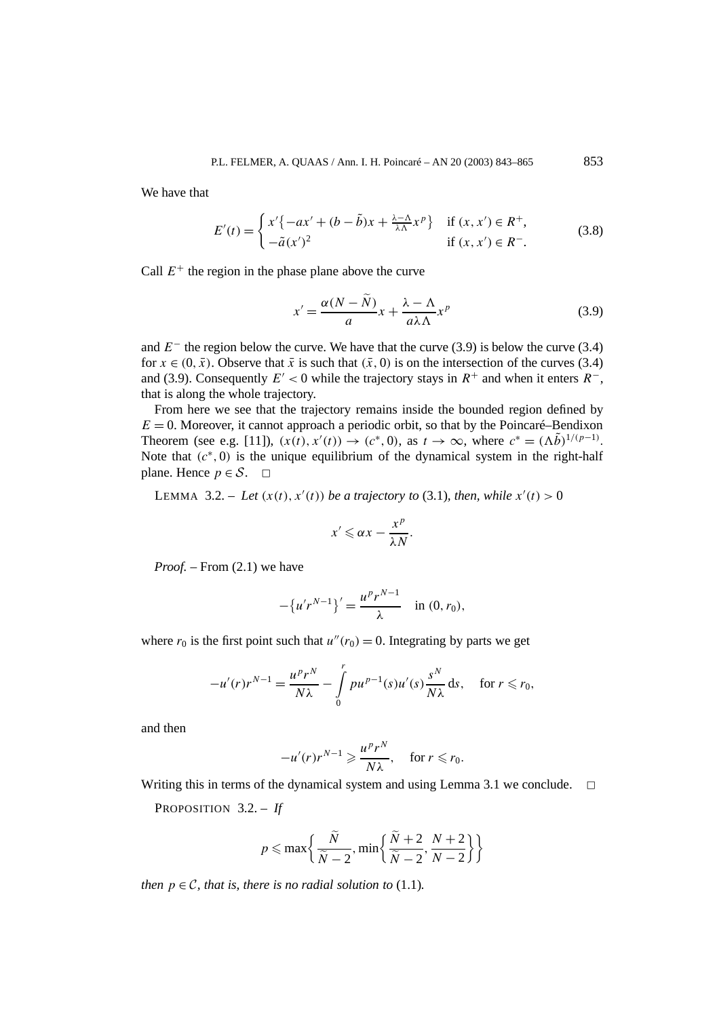We have that

$$
E'(t) = \begin{cases} x' \{-ax' + (b - \tilde{b})x + \frac{\lambda - \Lambda}{\lambda \Lambda} x^p \} & \text{if } (x, x') \in R^+, \\ -\tilde{a}(x')^2 & \text{if } (x, x') \in R^-. \end{cases}
$$
(3.8)

Call  $E^+$  the region in the phase plane above the curve

$$
x' = \frac{\alpha(N - N)}{a}x + \frac{\lambda - \Lambda}{a\lambda\Lambda}x^p
$$
\n(3.9)

and  $E^-$  the region below the curve. We have that the curve (3.9) is below the curve (3.4) for  $x \in (0, \bar{x})$ . Observe that  $\bar{x}$  is such that  $(\bar{x}, 0)$  is on the intersection of the curves (3.4) and (3.9). Consequently  $E' < 0$  while the trajectory stays in  $R^+$  and when it enters  $R^-$ , that is along the whole trajectory.

From here we see that the trajectory remains inside the bounded region defined by  $E = 0$ . Moreover, it cannot approach a periodic orbit, so that by the Poincaré–Bendixon Theorem (see e.g. [11]),  $(x(t), x'(t)) \to (c^*, 0)$ , as  $t \to \infty$ , where  $c^* = (\Lambda \tilde{b})^{1/(p-1)}$ . Note that  $(c^*, 0)$  is the unique equilibrium of the dynamical system in the right-half plane. Hence  $p \in S$ .  $\Box$ 

LEMMA 3.2. – Let  $(x(t), x'(t))$  be a trajectory to (3.1), then, while  $x'(t) > 0$ 

$$
x' \leqslant \alpha x - \frac{x^p}{\lambda N}.
$$

*Proof. –* From (2.1) we have

$$
-\{u'r^{N-1}\}' = \frac{u^p r^{N-1}}{\lambda} \quad \text{in } (0, r_0),
$$

where  $r_0$  is the first point such that  $u''(r_0) = 0$ . Integrating by parts we get

$$
-u'(r)r^{N-1} = \frac{u^pr^N}{N\lambda} - \int\limits_0^r pu^{p-1}(s)u'(s)\frac{s^N}{N\lambda} ds, \quad \text{for } r \le r_0,
$$

and then

$$
-u'(r)r^{N-1} \geqslant \frac{u^pr^N}{N\lambda}, \quad \text{for } r \leqslant r_0.
$$

Writing this in terms of the dynamical system and using Lemma 3.1 we conclude.  $\Box$ 

PROPOSITION 3.2. – *If*

$$
p \le \max\left\{\frac{\widetilde{N}}{\widetilde{N}-2}, \min\left\{\frac{\widetilde{N}+2}{\widetilde{N}-2}, \frac{N+2}{N-2}\right\}\right\}
$$

*then*  $p \in \mathcal{C}$ *, that is, there is no radial solution to* (1.1)*.*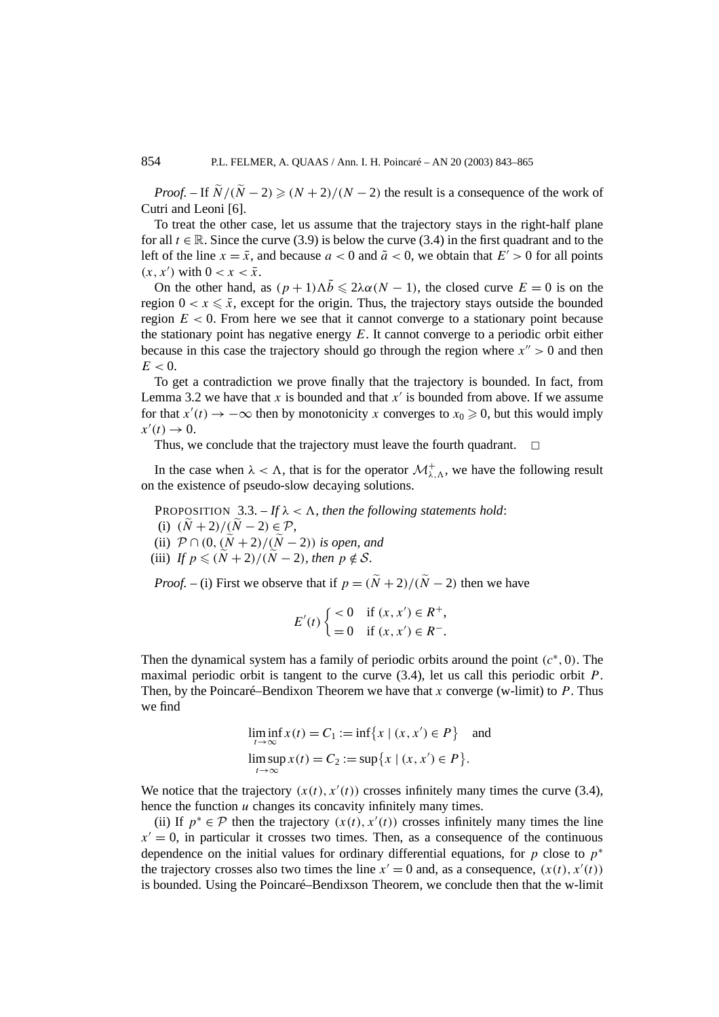*Proof.* – If  $\widetilde{N}/(\widetilde{N} - 2) \ge (N + 2)/(N - 2)$  the result is a consequence of the work of Cutri and Leoni [6].

To treat the other case, let us assume that the trajectory stays in the right-half plane for all  $t \in \mathbb{R}$ . Since the curve (3.9) is below the curve (3.4) in the first quadrant and to the left of the line  $x = \bar{x}$ , and because  $a < 0$  and  $\tilde{a} < 0$ , we obtain that  $E' > 0$  for all points  $(x, x')$  with  $0 < x < \bar{x}$ .

On the other hand, as  $(p+1)\Lambda\tilde{b} \leq 2\lambda\alpha(N-1)$ , the closed curve  $E=0$  is on the region  $0 < x \leq \bar{x}$ , except for the origin. Thus, the trajectory stays outside the bounded region  $E < 0$ . From here we see that it cannot converge to a stationary point because the stationary point has negative energy *E*. It cannot converge to a periodic orbit either because in this case the trajectory should go through the region where  $x'' > 0$  and then  $E < 0$ .

To get a contradiction we prove finally that the trajectory is bounded. In fact, from Lemma 3.2 we have that  $x$  is bounded and that  $x'$  is bounded from above. If we assume for that  $x'(t) \to -\infty$  then by monotonicity *x* converges to  $x_0 \ge 0$ , but this would imply  $x'(t) \to 0.$ 

Thus, we conclude that the trajectory must leave the fourth quadrant.  $\Box$ 

In the case when  $\lambda < \Lambda$ , that is for the operator  $\mathcal{M}^+_{\lambda,\Lambda}$ , we have the following result on the existence of pseudo-slow decaying solutions.

PROPOSITION  $3.3. - If  $\lambda < \Lambda$ , then the following statements hold:$ 

- (i)  $(\widetilde{N} + 2)/(\widetilde{N} 2) \in \mathcal{P}$ ,
- (ii)  $\mathcal{P} \cap (0, (\tilde{N} + 2)/(\tilde{N} 2))$  *is open, and*
- (iii) If  $p \leq (N+2)/(N-2)$ , then  $p \notin S$ .

*Proof.* – (i) First we observe that if  $p = (\tilde{N} + 2)/(\tilde{N} - 2)$  then we have

$$
E'(t) \begin{cases} < 0 & \text{if } (x, x') \in R^+, \\ = 0 & \text{if } (x, x') \in R^-. \end{cases}
$$

Then the dynamical system has a family of periodic orbits around the point *(c*<sup>∗</sup>*,* 0*)*. The maximal periodic orbit is tangent to the curve (3.4), let us call this periodic orbit *P*. Then, by the Poincaré–Bendixon Theorem we have that *x* converge (w-limit) to *P*. Thus we find

$$
\liminf_{t \to \infty} x(t) = C_1 := \inf \{ x \mid (x, x') \in P \}
$$
 and  

$$
\limsup_{t \to \infty} x(t) = C_2 := \sup \{ x \mid (x, x') \in P \}.
$$

We notice that the trajectory  $(x(t), x'(t))$  crosses infinitely many times the curve (3.4), hence the function *u* changes its concavity infinitely many times.

(ii) If  $p^* \in \mathcal{P}$  then the trajectory  $(x(t), x'(t))$  crosses infinitely many times the line  $x' = 0$ , in particular it crosses two times. Then, as a consequence of the continuous dependence on the initial values for ordinary differential equations, for *p* close to  $p^*$ the trajectory crosses also two times the line  $x' = 0$  and, as a consequence,  $(x(t), x'(t))$ is bounded. Using the Poincaré–Bendixson Theorem, we conclude then that the w-limit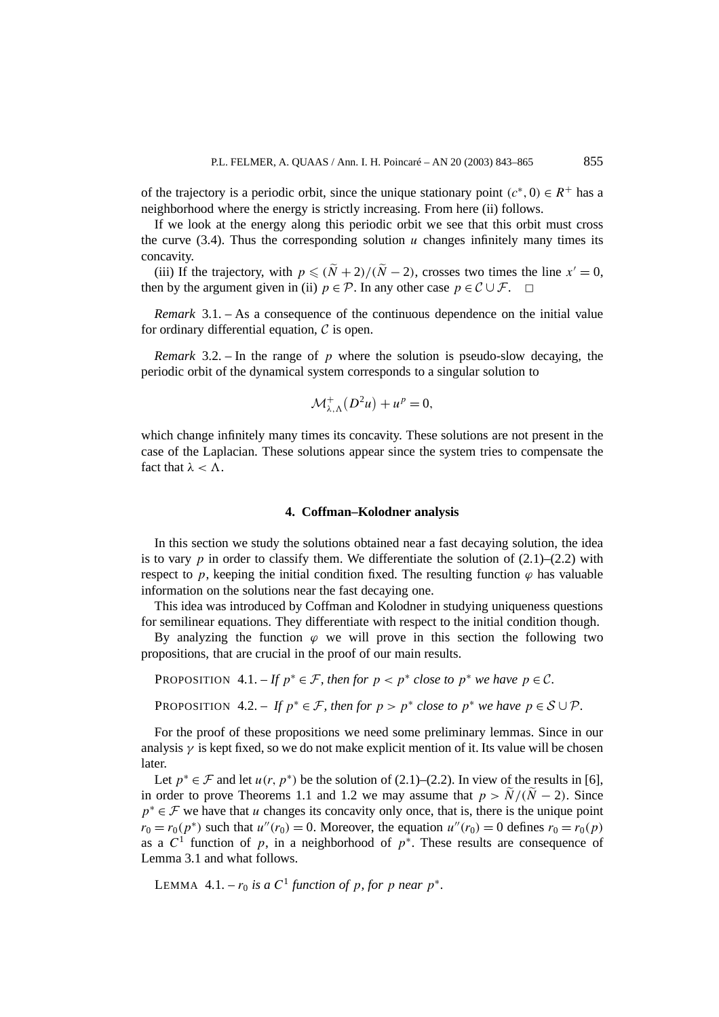of the trajectory is a periodic orbit, since the unique stationary point  $(c^*, 0) \in R^+$  has a neighborhood where the energy is strictly increasing. From here (ii) follows.

If we look at the energy along this periodic orbit we see that this orbit must cross the curve  $(3.4)$ . Thus the corresponding solution *u* changes infinitely many times its concavity.

(iii) If the trajectory, with  $p \leq (\tilde{N} + 2)/(\tilde{N} - 2)$ , crosses two times the line  $x' = 0$ , then by the argument given in (ii)  $p \in \mathcal{P}$ . In any other case  $p \in \mathcal{C} \cup \mathcal{F}$ .  $\Box$ 

*Remark* 3.1. – As a consequence of the continuous dependence on the initial value for ordinary differential equation,  $\mathcal C$  is open.

*Remark* 3.2. – In the range of *p* where the solution is pseudo-slow decaying, the periodic orbit of the dynamical system corresponds to a singular solution to

$$
\mathcal{M}^+_{\lambda,\Lambda}(D^2u)+u^p=0,
$$

which change infinitely many times its concavity. These solutions are not present in the case of the Laplacian. These solutions appear since the system tries to compensate the fact that  $\lambda < \Lambda$ .

### **4. Coffman–Kolodner analysis**

In this section we study the solutions obtained near a fast decaying solution, the idea is to vary  $p$  in order to classify them. We differentiate the solution of  $(2.1)$ – $(2.2)$  with respect to *p*, keeping the initial condition fixed. The resulting function  $\varphi$  has valuable information on the solutions near the fast decaying one.

This idea was introduced by Coffman and Kolodner in studying uniqueness questions for semilinear equations. They differentiate with respect to the initial condition though.

By analyzing the function  $\varphi$  we will prove in this section the following two propositions, that are crucial in the proof of our main results.

PROPOSITION 4.1. – If  $p^* \in \mathcal{F}$ , then for  $p < p^*$  close to  $p^*$  we have  $p \in \mathcal{C}$ .

PROPOSITION 4.2. – If  $p^* \in \mathcal{F}$ , then for  $p > p^*$  close to  $p^*$  we have  $p \in \mathcal{S} \cup \mathcal{P}$ .

For the proof of these propositions we need some preliminary lemmas. Since in our analysis  $\gamma$  is kept fixed, so we do not make explicit mention of it. Its value will be chosen later.

Let  $p^* \in \mathcal{F}$  and let  $u(r, p^*)$  be the solution of (2.1)–(2.2). In view of the results in [6], in order to prove Theorems 1.1 and 1.2 we may assume that  $p > N/(N - 2)$ . Since *p*<sup>∗</sup> ∈ *F* we have that *u* changes its concavity only once, that is, there is the unique point  $r_0 = r_0(p^*)$  such that  $u''(r_0) = 0$ . Moreover, the equation  $u''(r_0) = 0$  defines  $r_0 = r_0(p)$ as a  $C^1$  function of *p*, in a neighborhood of  $p^*$ . These results are consequence of Lemma 3.1 and what follows.

LEMMA 4.1. –  $r_0$  *is a*  $C^1$  *function of p, for p near*  $p^*$ *.*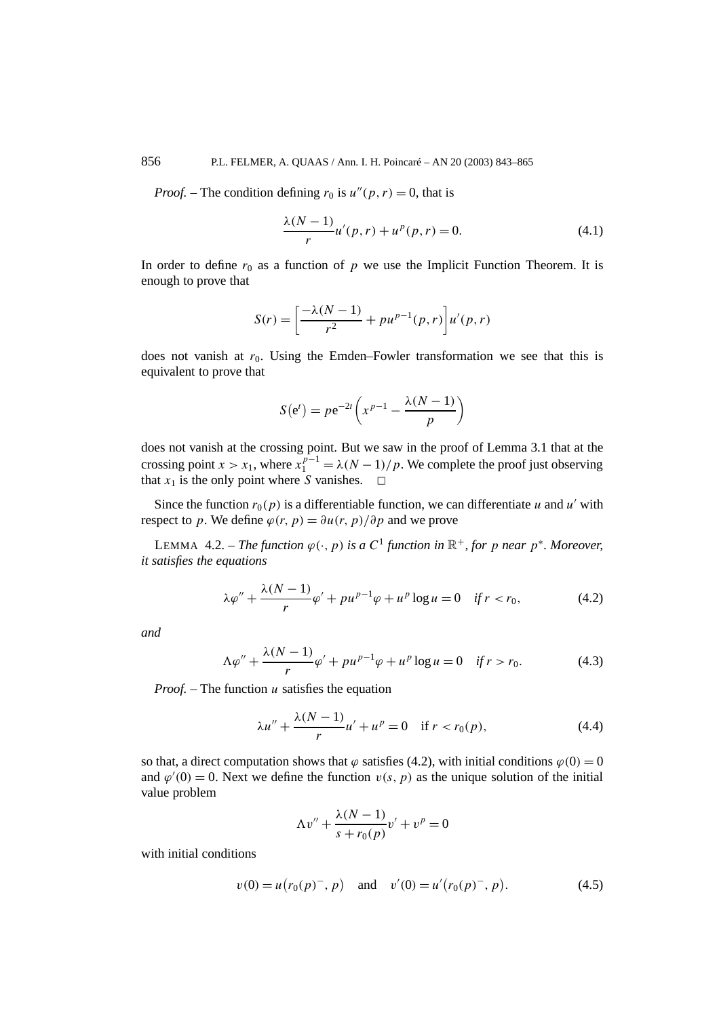856 P.L. FELMER, A. QUAAS / Ann. I. H. Poincaré – AN 20 (2003) 843–865

*Proof.* – The condition defining  $r_0$  is  $u''(p, r) = 0$ , that is

$$
\frac{\lambda(N-1)}{r}u'(p,r) + u^p(p,r) = 0.
$$
 (4.1)

In order to define  $r_0$  as a function of  $p$  we use the Implicit Function Theorem. It is enough to prove that

$$
S(r) = \left[\frac{-\lambda(N-1)}{r^2} + pu^{p-1}(p,r)\right]u'(p,r)
$$

does not vanish at  $r_0$ . Using the Emden–Fowler transformation we see that this is equivalent to prove that

$$
S(e^t) = p e^{-2t} \left( x^{p-1} - \frac{\lambda(N-1)}{p} \right)
$$

does not vanish at the crossing point. But we saw in the proof of Lemma 3.1 that at the crossing point *x* > *x*<sub>1</sub>, where  $x_1^{p-1} = \lambda (N-1)/p$ . We complete the proof just observing that  $x_1$  is the only point where *S* vanishes.  $\Box$ 

Since the function  $r_0(p)$  is a differentiable function, we can differentiate *u* and *u'* with respect to *p*. We define  $\varphi(r, p) = \partial u(r, p)/\partial p$  and we prove

LEMMA 4.2. – *The function*  $\varphi(\cdot, p)$  *is a*  $C^1$  *function in*  $\mathbb{R}^+$ *, for p near*  $p^*$ *. Moreover, it satisfies the equations*

$$
\lambda \varphi'' + \frac{\lambda (N-1)}{r} \varphi' + p u^{p-1} \varphi + u^p \log u = 0 \quad \text{if } r < r_0,\tag{4.2}
$$

*and*

$$
\Lambda \varphi'' + \frac{\lambda (N-1)}{r} \varphi' + p u^{p-1} \varphi + u^p \log u = 0 \quad \text{if } r > r_0. \tag{4.3}
$$

*Proof. –* The function *u* satisfies the equation

$$
\lambda u'' + \frac{\lambda (N-1)}{r} u' + u^p = 0 \quad \text{if } r < r_0(p),\tag{4.4}
$$

so that, a direct computation shows that  $\varphi$  satisfies (4.2), with initial conditions  $\varphi(0) = 0$ and  $\varphi'(0) = 0$ . Next we define the function  $v(s, p)$  as the unique solution of the initial value problem

$$
\Lambda v'' + \frac{\lambda (N-1)}{s + r_0(p)} v' + v^p = 0
$$

with initial conditions

$$
v(0) = u(r_0(p)^-, p)
$$
 and  $v'(0) = u'(r_0(p)^-, p)$ . (4.5)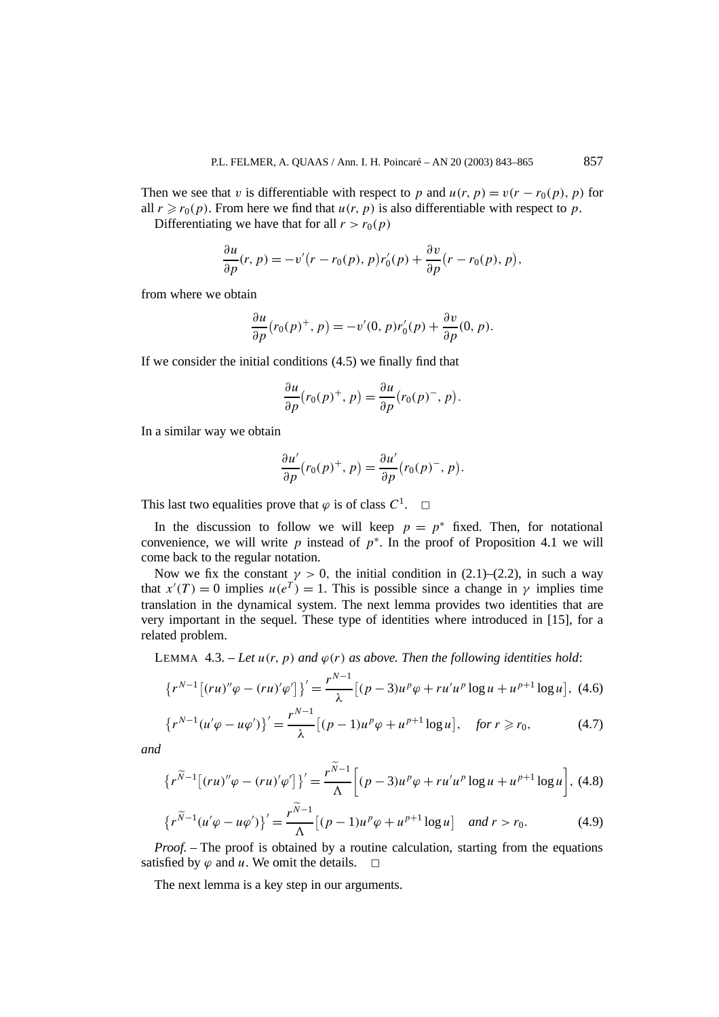Then we see that *v* is differentiable with respect to *p* and  $u(r, p) = v(r - r_0(p), p)$  for all  $r \ge r_0(p)$ . From here we find that  $u(r, p)$  is also differentiable with respect to p. Differentiating we have that for all  $r > r_0(p)$ 

$$
\frac{\partial u}{\partial p}(r, p) = -v'(r - r_0(p), p)r'_0(p) + \frac{\partial v}{\partial p}(r - r_0(p), p),
$$

from where we obtain

$$
\frac{\partial u}{\partial p}(r_0(p)^+, p) = -v'(0, p)r'_0(p) + \frac{\partial v}{\partial p}(0, p).
$$

If we consider the initial conditions (4.5) we finally find that

$$
\frac{\partial u}{\partial p}(r_0(p)^+, p) = \frac{\partial u}{\partial p}(r_0(p)^-, p).
$$

In a similar way we obtain

$$
\frac{\partial u'}{\partial p}(r_0(p)^+, p) = \frac{\partial u'}{\partial p}(r_0(p)^-, p).
$$

This last two equalities prove that  $\varphi$  is of class  $C^1$ .  $\Box$ 

In the discussion to follow we will keep  $p = p^*$  fixed. Then, for notational convenience, we will write *p* instead of  $p^*$ . In the proof of Proposition 4.1 we will come back to the regular notation.

Now we fix the constant  $\gamma > 0$ , the initial condition in (2.1)–(2.2), in such a way that  $x'(T) = 0$  implies  $u(e^T) = 1$ . This is possible since a change in  $\gamma$  implies time translation in the dynamical system. The next lemma provides two identities that are very important in the sequel. These type of identities where introduced in [15], for a related problem.

LEMMA 4.3. – Let  $u(r, p)$  and  $\varphi(r)$  as above. Then the following identities hold:

$$
\left\{r^{N-1}\left[(ru)''\varphi - (ru)'\varphi'\right]\right\}' = \frac{r^{N-1}}{\lambda}\left[(p-3)u^p\varphi + ru'u^p\log u + u^{p+1}\log u\right],\tag{4.6}
$$

$$
\left\{r^{N-1}(u'\varphi - u\varphi')\right\}' = \frac{r^{N-1}}{\lambda} \left[ (p-1)u^p \varphi + u^{p+1} \log u \right], \quad \text{for } r \ge r_0,\tag{4.7}
$$

*and*

$$
\left\{r^{\widetilde{N}-1}\left[(ru)''\varphi-(ru)'\varphi'\right]\right\}'=\frac{r^{\widetilde{N}-1}}{\Lambda}\left[(p-3)u^p\varphi+ru'u^p\log u+u^{p+1}\log u\right],\tag{4.8}
$$

$$
\left\{r^{\widetilde{N}-1}(u'\varphi - u\varphi')\right\}' = \frac{r^{N-1}}{\Lambda} \left[ (p-1)u^p \varphi + u^{p+1} \log u \right] \quad \text{and } r > r_0. \tag{4.9}
$$

*Proof.* – The proof is obtained by a routine calculation, starting from the equations satisfied by  $\varphi$  and  $u$ . We omit the details.  $\Box$ 

The next lemma is a key step in our arguments.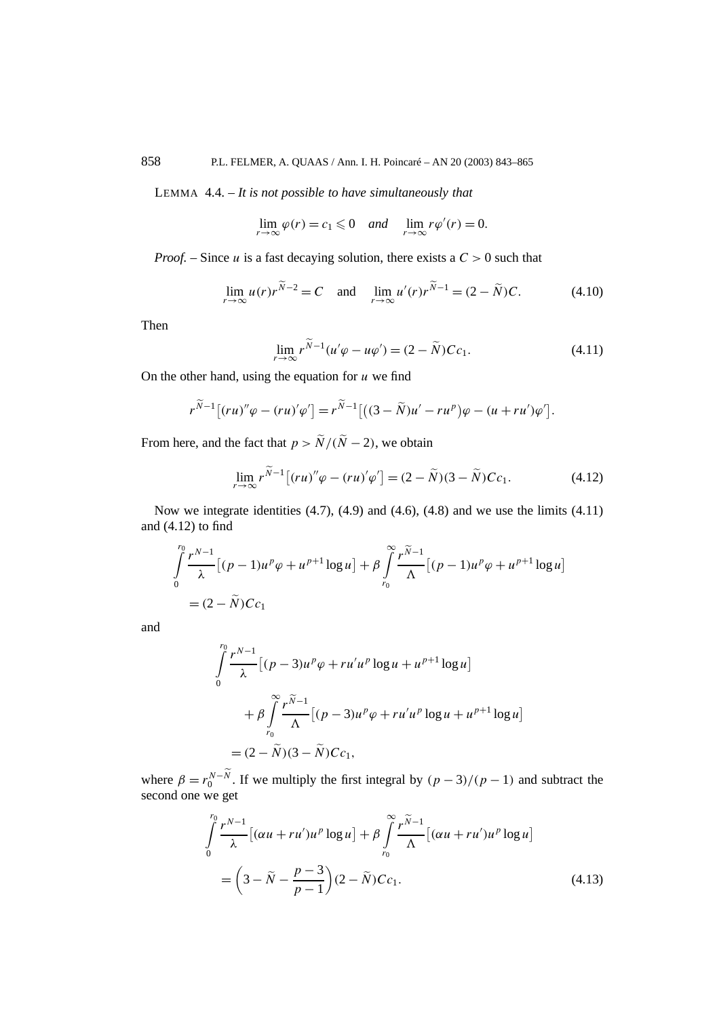LEMMA 4.4. – *It is not possible to have simultaneously that*

$$
\lim_{r \to \infty} \varphi(r) = c_1 \leq 0 \quad \text{and} \quad \lim_{r \to \infty} r\varphi'(r) = 0.
$$

*Proof. –* Since *u* is a fast decaying solution, there exists a *C >* 0 such that

$$
\lim_{r \to \infty} u(r)r^{\widetilde{N}-2} = C \quad \text{and} \quad \lim_{r \to \infty} u'(r)r^{\widetilde{N}-1} = (2 - \widetilde{N})C. \tag{4.10}
$$

Then

$$
\lim_{r \to \infty} r^{\widetilde{N}-1} (u' \varphi - u \varphi') = (2 - \widetilde{N}) C c_1.
$$
\n(4.11)

On the other hand, using the equation for *u* we find

$$
r^{\widetilde{N}-1}\big[(ru)''\varphi-(ru)'\varphi'\big]=r^{\widetilde{N}-1}\big[\big((3-\widetilde{N})u'-ru^p\big)\varphi-(u+ru')\varphi'\big].
$$

From here, and the fact that  $p > \widetilde{N}/(\widetilde{N} - 2)$ , we obtain

$$
\lim_{r \to \infty} r^{\widetilde{N}-1} \left[ (ru)'' \varphi - (ru)' \varphi' \right] = (2 - \widetilde{N})(3 - \widetilde{N}) C c_1. \tag{4.12}
$$

Now we integrate identities  $(4.7)$ ,  $(4.9)$  and  $(4.6)$ ,  $(4.8)$  and we use the limits  $(4.11)$ and (4.12) to find

$$
\int_{0}^{r_0} \frac{r^{N-1}}{\lambda} [(p-1)u^p \varphi + u^{p+1} \log u] + \beta \int_{r_0}^{\infty} \frac{r^{\widetilde{N}-1}}{\Lambda} [(p-1)u^p \varphi + u^{p+1} \log u]
$$
  
=  $(2 - \widetilde{N}) C c_1$ 

and

$$
\int_{0}^{r_0} \frac{r^{N-1}}{\lambda} [(p-3)u^p \varphi + ru'u^p \log u + u^{p+1} \log u]
$$
  
+  $\beta \int_{r_0}^{\infty} \frac{r^{\widetilde{N}-1}}{\Lambda} [(p-3)u^p \varphi + ru'u^p \log u + u^{p+1} \log u]$   
=  $(2 - \widetilde{N})(3 - \widetilde{N})C_{c_1}$ ,

where  $\beta = r_0^{N-\widetilde{N}}$ . If we multiply the first integral by  $(p-3)/(p-1)$  and subtract the second one we get

$$
\int_{0}^{r_0} \frac{r^{N-1}}{\lambda} \left[ (\alpha u + r u') u^p \log u \right] + \beta \int_{r_0}^{\infty} \frac{r^{\widetilde{N}-1}}{\Lambda} \left[ (\alpha u + r u') u^p \log u \right]
$$

$$
= \left( 3 - \widetilde{N} - \frac{p-3}{p-1} \right) (2 - \widetilde{N}) C c_1.
$$
(4.13)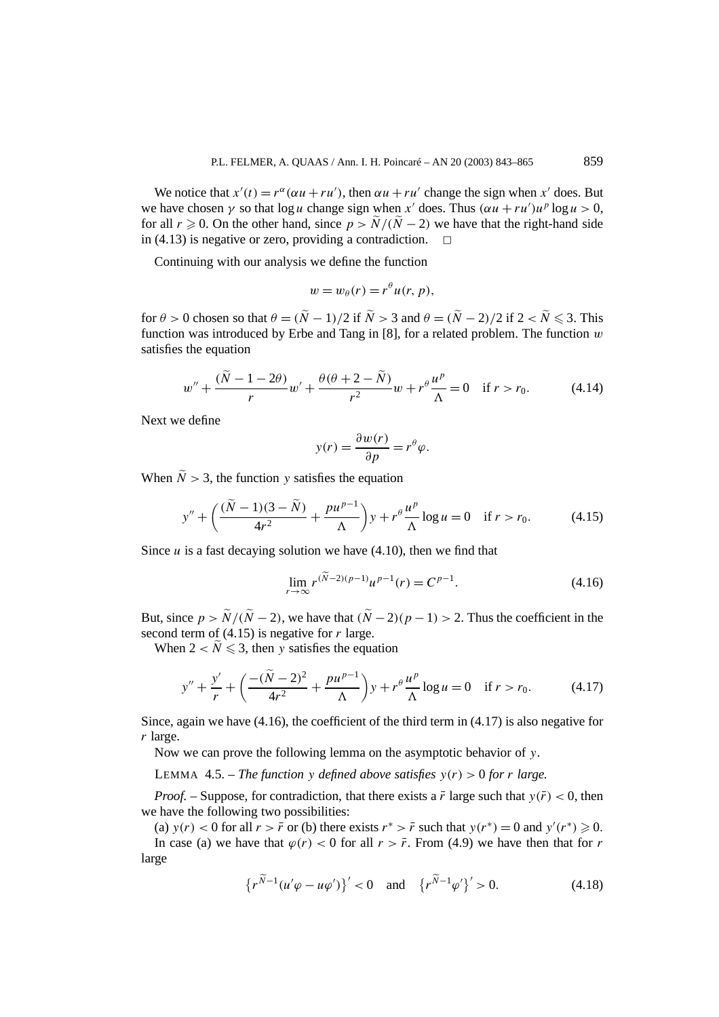We notice that  $x'(t) = r^{\alpha}(\alpha u + ru')$ , then  $\alpha u + ru'$  change the sign when  $x'$  does. But we have chosen  $\gamma$  so that log *u* change sign when *x'* does. Thus  $(\alpha u + ru')u^p \log u > 0$ , for all *r*  $\ge$  0. On the other hand, since *p* >  $\tilde{N}/(\tilde{N} - 2)$  we have that the right-hand side in (4.13) is negative or zero, providing a contradiction in  $(4.13)$  is negative or zero, providing a contradiction.

Continuing with our analysis we define the function

$$
w=w_{\theta}(r)=r^{\theta}u(r, p),
$$

for  $\theta > 0$  chosen so that  $\theta = (N - 1)/2$  if  $N > 3$  and  $\theta = (N - 2)/2$  if  $2 < N \le 3$ . This function was introduced by Erbe and Tang in [8], for a related problem. The function *w* satisfies the equation

$$
w'' + \frac{(\tilde{N} - 1 - 2\theta)}{r}w' + \frac{\theta(\theta + 2 - \tilde{N})}{r^2}w + r^{\theta}\frac{u^p}{\Lambda} = 0 \quad \text{if } r > r_0. \tag{4.14}
$$

Next we define

$$
y(r) = \frac{\partial w(r)}{\partial p} = r^{\theta} \varphi.
$$

When  $\tilde{N} > 3$ , the function *y* satisfies the equation

$$
y'' + \left(\frac{(\tilde{N} - 1)(3 - \tilde{N})}{4r^2} + \frac{pu^{p-1}}{\Lambda}\right)y + r^{\theta} \frac{u^p}{\Lambda} \log u = 0 \quad \text{if } r > r_0. \tag{4.15}
$$

Since  $u$  is a fast decaying solution we have  $(4.10)$ , then we find that

$$
\lim_{r \to \infty} r^{(\widetilde{N}-2)(p-1)} u^{p-1}(r) = C^{p-1}.
$$
\n(4.16)

But, since  $p > \tilde{N}/(\tilde{N} - 2)$ , we have that  $(\tilde{N} - 2)(p - 1) > 2$ . Thus the coefficient in the second term of (4.15) is negative for *r* large.

When  $2 < N \leq 3$ , then *y* satisfies the equation

$$
y'' + \frac{y'}{r} + \left(\frac{-(\tilde{N} - 2)^2}{4r^2} + \frac{pu^{p-1}}{\Lambda}\right)y + r^{\theta} \frac{u^p}{\Lambda} \log u = 0 \quad \text{if } r > r_0. \tag{4.17}
$$

Since, again we have  $(4.16)$ , the coefficient of the third term in  $(4.17)$  is also negative for *r* large.

Now we can prove the following lemma on the asymptotic behavior of *y*.

LEMMA 4.5. – *The function y defined above satisfies*  $y(r) > 0$  *for r large.* 

*Proof.* – Suppose, for contradiction, that there exists a  $\bar{r}$  large such that  $y(\bar{r}) < 0$ , then we have the following two possibilities:

(a)  $y(r) < 0$  for all  $r > \bar{r}$  or (b) there exists  $r^* > \bar{r}$  such that  $y(r^*) = 0$  and  $y'(r^*) \ge 0$ . In case (a) we have that  $\varphi(r) < 0$  for all  $r > \bar{r}$ . From (4.9) we have then that for *r* large

$$
\left\{r^{\widetilde{N}-1}(u'\varphi - u\varphi')\right\}' < 0 \quad \text{and} \quad \left\{r^{\widetilde{N}-1}\varphi'\right\}' > 0. \tag{4.18}
$$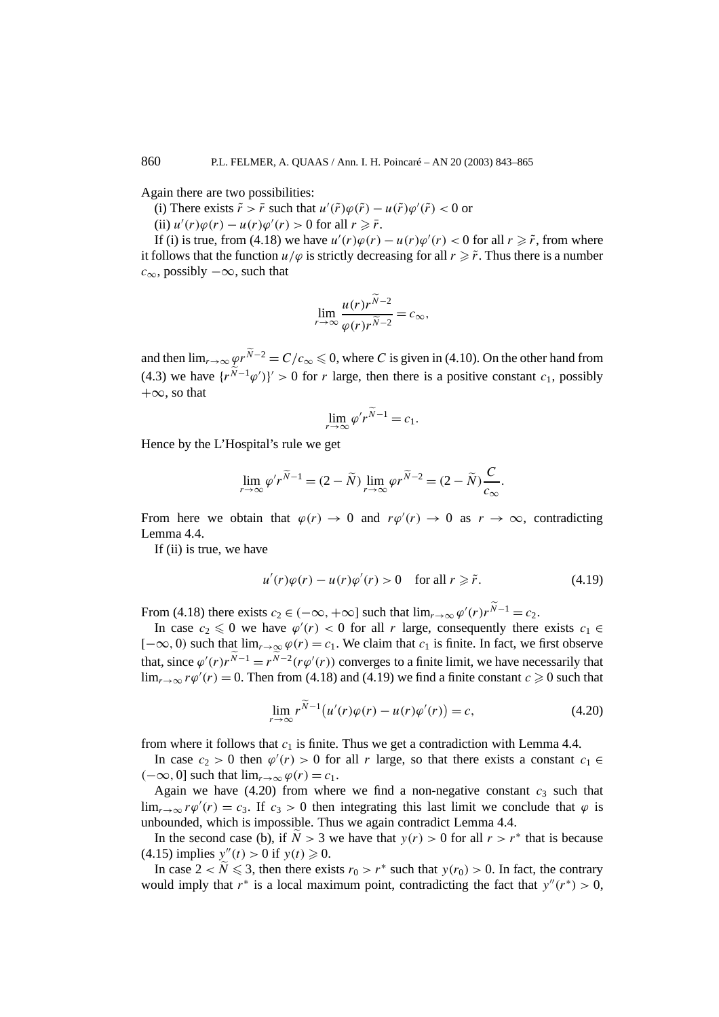Again there are two possibilities:

(i) There exists  $\tilde{r} > \bar{r}$  such that  $u'(\tilde{r})\varphi(\tilde{r}) - u(\tilde{r})\varphi'(\tilde{r}) < 0$  or

(ii)  $u'(r)\varphi(r) - u(r)\varphi'(r) > 0$  for all  $r \geq \bar{r}$ .

If (i) is true, from (4.18) we have  $u'(r)\varphi(r) - u(r)\varphi'(r) < 0$  for all  $r \geq r$ , from where it follows that the function  $u/\varphi$  is strictly decreasing for all  $r \geq \tilde{r}$ . Thus there is a number *c*∞, possibly −∞, such that

$$
\lim_{r \to \infty} \frac{u(r)r^{\widetilde{N}-2}}{\varphi(r)r^{\widetilde{N}-2}} = c_{\infty},
$$

and then  $\lim_{r\to\infty}\varphi r^{N-2}=C/c_{\infty}\leqslant 0$ , where *C* is given in (4.10). On the other hand from (4.3) we have  $\{r^{N-1}\varphi'\}\neq 0$  for *r* large, then there is a positive constant *c*<sub>1</sub>, possibly  $+\infty$ , so that

$$
\lim_{r \to \infty} \varphi' r^{\widetilde{N}-1} = c_1.
$$

Hence by the L'Hospital's rule we get

$$
\lim_{r \to \infty} \varphi' r^{\widetilde{N}-1} = (2 - \widetilde{N}) \lim_{r \to \infty} \varphi r^{\widetilde{N}-2} = (2 - \widetilde{N}) \frac{C}{c_{\infty}}.
$$

From here we obtain that  $\varphi(r) \to 0$  and  $r\varphi'(r) \to 0$  as  $r \to \infty$ , contradicting Lemma 4.4.

If (ii) is true, we have

$$
u'(r)\varphi(r) - u(r)\varphi'(r) > 0 \quad \text{for all } r \geq \tilde{r}.\tag{4.19}
$$

From (4.18) there exists  $c_2 \in (-\infty, +\infty]$  such that  $\lim_{r\to\infty} \varphi'(r)r^{N-1} = c_2$ .

In case  $c_2 \leq 0$  we have  $\varphi'(r) < 0$  for all *r* large, consequently there exists  $c_1 \in$  $[-\infty, 0)$  such that  $\lim_{r\to\infty} \varphi(r) = c_1$ . We claim that  $c_1$  is finite. In fact, we first observe that, since  $\varphi'(r)r^{N-1} = r^{N-2}(r\varphi'(r))$  converges to a finite limit, we have necessarily that  $\lim_{r\to\infty} r\varphi'(r) = 0$ . Then from (4.18) and (4.19) we find a finite constant  $c \ge 0$  such that

$$
\lim_{r \to \infty} r^{\widetilde{N}-1} \big( u'(r)\varphi(r) - u(r)\varphi'(r) \big) = c,\tag{4.20}
$$

from where it follows that  $c_1$  is finite. Thus we get a contradiction with Lemma 4.4.

In case  $c_2 > 0$  then  $\varphi'(r) > 0$  for all *r* large, so that there exists a constant  $c_1 \in$  $(-∞, 0]$  such that  $\lim_{r\to\infty} φ(r) = c_1$ .

Again we have  $(4.20)$  from where we find a non-negative constant  $c_3$  such that lim<sub>*r*→∞</sub>  $r\varphi'(r) = c_3$ . If  $c_3 > 0$  then integrating this last limit we conclude that  $\varphi$  is unbounded, which is impossible. Thus we again contradict Lemma 4.4.

In the second case (b), if  $N > 3$  we have that  $y(r) > 0$  for all  $r > r^*$  that is because  $(4.15)$  implies  $y''(t) > 0$  if  $y(t) \ge 0$ .

In case  $2 < \tilde{N} \leq 3$ , then there exists  $r_0 > r^*$  such that  $y(r_0) > 0$ . In fact, the contrary would imply that  $r^*$  is a local maximum point, contradicting the fact that  $y''(r^*) > 0$ ,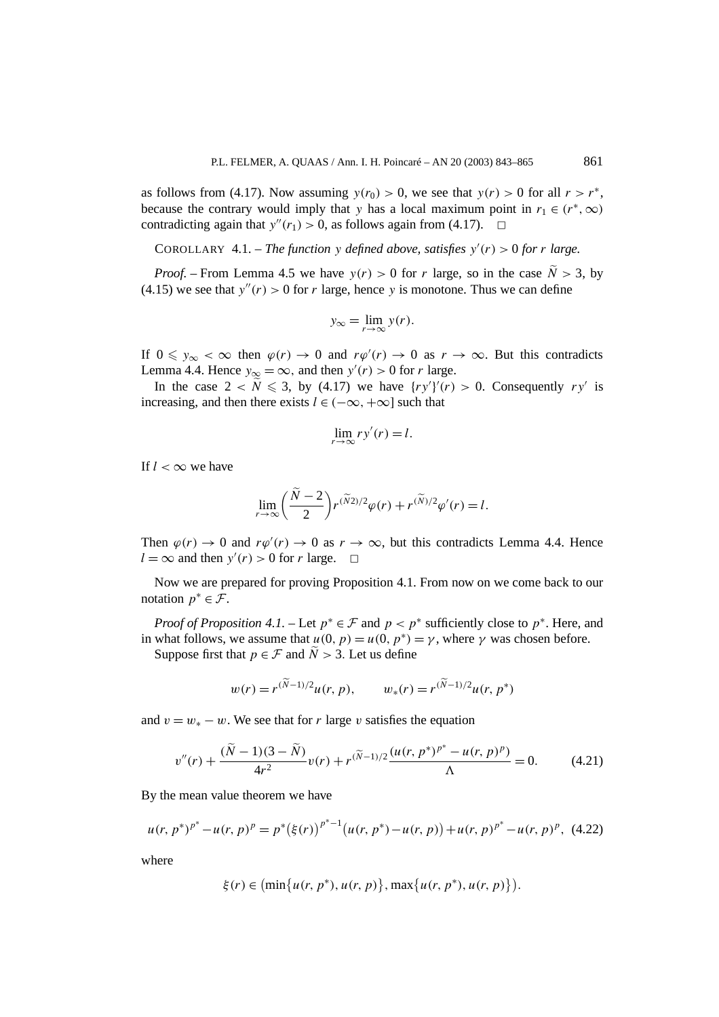as follows from (4.17). Now assuming  $y(r_0) > 0$ , we see that  $y(r) > 0$  for all  $r > r^*$ , because the contrary would imply that *y* has a local maximum point in  $r_1 \in (r^*, \infty)$ contradicting again that  $y''(r_1) > 0$ , as follows again from (4.17).  $\Box$ 

COROLLARY 4.1. – *The function y defined above, satisfies*  $y'(r) > 0$  *for r large.* 

*Proof.* – From Lemma 4.5 we have  $y(r) > 0$  for *r* large, so in the case  $N > 3$ , by (4.15) we see that  $y''(r) > 0$  for *r* large, hence *y* is monotone. Thus we can define

$$
y_{\infty} = \lim_{r \to \infty} y(r).
$$

If  $0 \le y_\infty < \infty$  then  $\varphi(r) \to 0$  and  $r\varphi'(r) \to 0$  as  $r \to \infty$ . But this contradicts Lemma 4.4. Hence  $y_{\infty} = \infty$ , and then  $y'(r) > 0$  for *r* large.

In the case  $2 < \tilde{N} \leq 3$ , by (4.17) we have  $\{ry'\}'(r) > 0$ . Consequently *ry'* is increasing, and then there exists  $l \in (-\infty, +\infty]$  such that

$$
\lim_{r \to \infty} ry'(r) = l.
$$

If  $l < \infty$  we have

$$
\lim_{r \to \infty} \left( \frac{\tilde{N} - 2}{2} \right) r^{(\tilde{N}2)/2} \varphi(r) + r^{(\tilde{N})/2} \varphi'(r) = l.
$$

Then  $\varphi(r) \to 0$  and  $r\varphi'(r) \to 0$  as  $r \to \infty$ , but this contradicts Lemma 4.4. Hence  $l = \infty$  and then  $y'(r) > 0$  for *r* large.  $\Box$ 

Now we are prepared for proving Proposition 4.1. From now on we come back to our notation  $p^* \in \mathcal{F}$ .

*Proof of Proposition 4.1.* – Let  $p^* \in \mathcal{F}$  and  $p < p^*$  sufficiently close to  $p^*$ . Here, and in what follows, we assume that  $u(0, p) = u(0, p^*) = \gamma$ , where  $\gamma$  was chosen before.

Suppose first that  $p \in \mathcal{F}$  and  $\widetilde{N} > 3$ . Let us define

$$
w(r) = r^{(\widetilde{N}-1)/2}u(r, p),
$$
  $w_*(r) = r^{(\widetilde{N}-1)/2}u(r, p^*)$ 

and  $v = w_* - w$ . We see that for *r* large *v* satisfies the equation

$$
v''(r) + \frac{(\tilde{N} - 1)(3 - \tilde{N})}{4r^2}v(r) + r^{(\tilde{N} - 1)/2} \frac{(u(r, p^*)^{p^*} - u(r, p)^p)}{\Lambda} = 0.
$$
 (4.21)

By the mean value theorem we have

$$
u(r, p^*)^{p^*} - u(r, p)^p = p^* (\xi(r))^{p^*-1} (u(r, p^*) - u(r, p)) + u(r, p)^{p^*} - u(r, p)^p, (4.22)
$$

where

$$
\xi(r) \in \left(\min\{u(r, p^*), u(r, p)\}, \max\{u(r, p^*), u(r, p)\}\right).
$$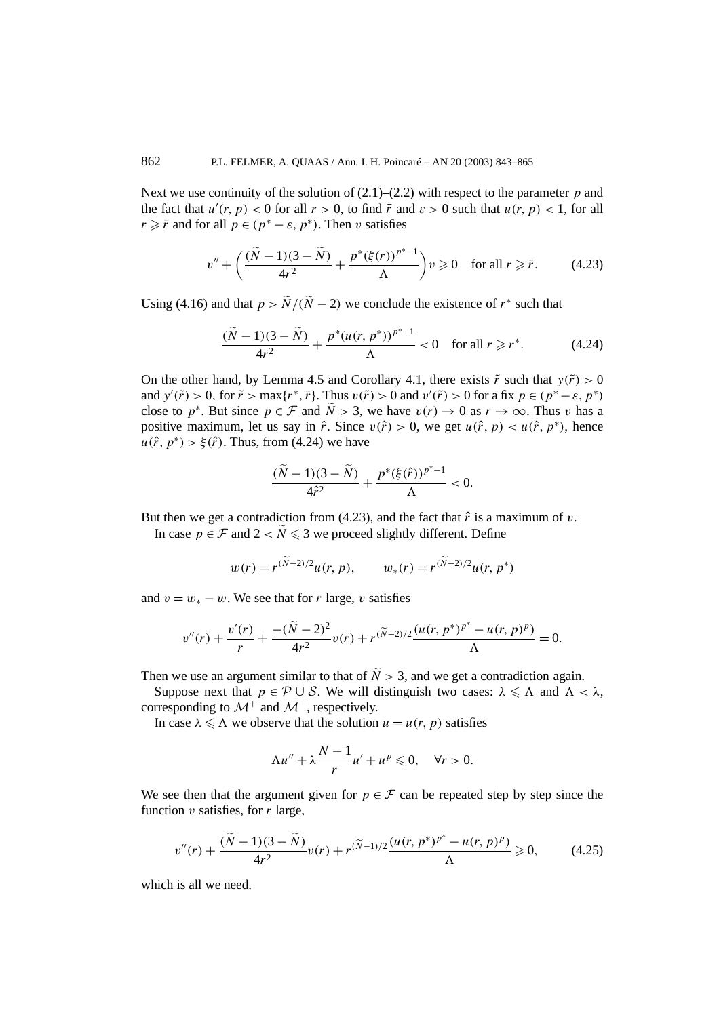Next we use continuity of the solution of  $(2.1)$ – $(2.2)$  with respect to the parameter *p* and the fact that  $u'(r, p) < 0$  for all  $r > 0$ , to find  $\bar{r}$  and  $\varepsilon > 0$  such that  $u(r, p) < 1$ , for all  $r \geq r$  and for all  $p \in (p^* - \varepsilon, p^*)$ . Then *v* satisfies

$$
v'' + \left(\frac{(\tilde{N}-1)(3-\tilde{N})}{4r^2} + \frac{p^*(\xi(r))^{p^*-1}}{\Lambda}\right)v \ge 0 \quad \text{for all } r \ge \bar{r}.
$$
 (4.23)

Using (4.16) and that  $p > \tilde{N}/(\tilde{N} - 2)$  we conclude the existence of  $r^*$  such that

$$
\frac{(\tilde{N}-1)(3-\tilde{N})}{4r^2} + \frac{p^*(u(r, p^*))^{p^*-1}}{\Lambda} < 0 \quad \text{for all } r \ge r^*.
$$
 (4.24)

On the other hand, by Lemma 4.5 and Corollary 4.1, there exists  $\tilde{r}$  such that  $y(\tilde{r}) > 0$ and  $y'(\tilde{r}) > 0$ , for  $\tilde{r} > \max\{r^*, \bar{r}\}\)$ . Thus  $v(\tilde{r}) > 0$  and  $v'(\tilde{r}) > 0$  for a fix  $p \in (p^* - \varepsilon, p^*)$ close to *p*<sup>\*</sup>. But since  $p \in \mathcal{F}$  and  $\tilde{N} > 3$ , we have  $v(r) \to 0$  as  $r \to \infty$ . Thus *v* has a positive maximum, let us say in  $\hat{r}$ . Since  $v(\hat{r}) > 0$ , we get  $u(\hat{r}, p) < u(\hat{r}, p^*)$ , hence  $u(\hat{r}, p^*) > \xi(\hat{r})$ . Thus, from (4.24) we have

$$
\frac{(\tilde{N}-1)(3-\tilde{N})}{4\hat{r}^2} + \frac{p^*(\xi(\hat{r}))^{p^*-1}}{\Lambda} < 0.
$$

But then we get a contradiction from  $(4.23)$ , and the fact that  $\hat{r}$  is a maximum of *v*.

In case  $p \in \mathcal{F}$  and  $2 < N \le 3$  we proceed slightly different. Define

$$
w(r) = r^{(\widetilde{N}-2)/2} u(r, p), \qquad w_*(r) = r^{(\widetilde{N}-2)/2} u(r, p^*)
$$

and  $v = w_* - w$ . We see that for *r* large, *v* satisfies

$$
v''(r) + \frac{v'(r)}{r} + \frac{-(\tilde{N}-2)^2}{4r^2}v(r) + r^{(\tilde{N}-2)/2}\frac{(u(r, p^*)^{p^*} - u(r, p)^p)}{\Lambda} = 0.
$$

Then we use an argument similar to that of  $\tilde{N} > 3$ , and we get a contradiction again.

Suppose next that  $p \in \mathcal{P} \cup \mathcal{S}$ . We will distinguish two cases:  $\lambda \leq \Lambda$  and  $\Lambda < \lambda$ , corresponding to  $\mathcal{M}^+$  and  $\mathcal{M}^-$ , respectively.

In case  $\lambda \le \Lambda$  we observe that the solution  $u = u(r, p)$  satisfies

$$
\Lambda u'' + \lambda \frac{N-1}{r} u' + u^p \leq 0, \quad \forall r > 0.
$$

We see then that the argument given for  $p \in \mathcal{F}$  can be repeated step by step since the function *v* satisfies, for *r* large,

$$
v''(r) + \frac{(\tilde{N} - 1)(3 - \tilde{N})}{4r^2}v(r) + r^{(\tilde{N} - 1)/2} \frac{(u(r, p^*)^{p^*} - u(r, p)^p)}{\Lambda} \ge 0,
$$
 (4.25)

which is all we need.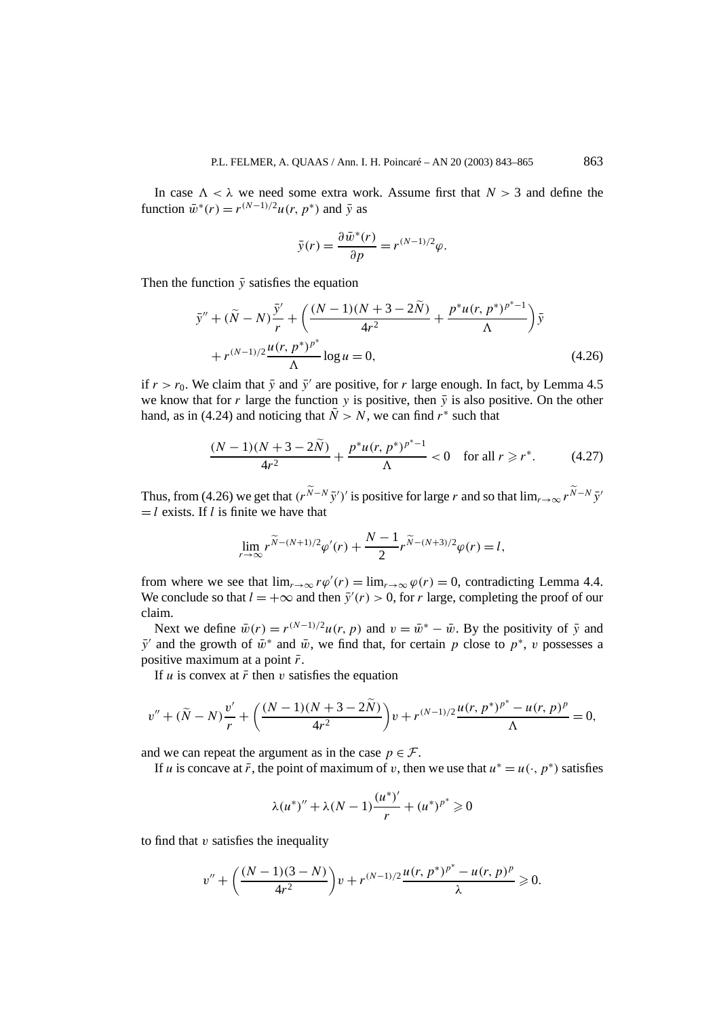In case  $\Lambda < \lambda$  we need some extra work. Assume first that  $N > 3$  and define the function  $\bar{w}^*(r) = r^{(N-1)/2}u(r, p^*)$  and  $\bar{v}$  as

$$
\bar{y}(r) = \frac{\partial \bar{w}^*(r)}{\partial p} = r^{(N-1)/2} \varphi.
$$

Then the function  $\bar{y}$  satisfies the equation

$$
\bar{y}'' + (\tilde{N} - N)\frac{\bar{y}'}{r} + \left(\frac{(N-1)(N+3-2\tilde{N})}{4r^2} + \frac{p^*u(r, p^*)^{p^*-1}}{\Lambda}\right)\bar{y} + r^{(N-1)/2}\frac{u(r, p^*)^{p^*}}{\Lambda}\log u = 0,
$$
\n(4.26)

if  $r > r_0$ . We claim that  $\bar{y}$  and  $\bar{y}'$  are positive, for *r* large enough. In fact, by Lemma 4.5 we know that for *r* large the function *y* is positive, then  $\bar{y}$  is also positive. On the other hand, as in (4.24) and noticing that  $\tilde{N} > N$ , we can find  $r^*$  such that

$$
\frac{(N-1)(N+3-2\tilde{N})}{4r^2} + \frac{p^*u(r, p^*)^{p^*-1}}{\Lambda} < 0 \quad \text{for all } r \geq r^*.\tag{4.27}
$$

Thus, from (4.26) we get that  $(r^{N-N} \bar{y}')'$  is positive for large *r* and so that  $\lim_{r\to\infty} r^{N-N} \bar{y}'$  $=$ *l* exists. If *l* is finite we have that

$$
\lim_{r \to \infty} r^{\widetilde{N} - (N+1)/2} \varphi'(r) + \frac{N-1}{2} r^{\widetilde{N} - (N+3)/2} \varphi(r) = l,
$$

from where we see that  $\lim_{r\to\infty} r\varphi'(r) = \lim_{r\to\infty} \varphi(r) = 0$ , contradicting Lemma 4.4. We conclude so that  $l = +\infty$  and then  $\bar{y}'(r) > 0$ , for *r* large, completing the proof of our claim.

Next we define  $\bar{w}(r) = r^{(N-1)/2}u(r, p)$  and  $v = \bar{w}^* - \bar{w}$ . By the positivity of  $\bar{y}$  and *y*<sup> $\bar{y}$ </sup> and the growth of  $\bar{w}$ <sup>\*</sup> and  $\bar{w}$ , we find that, for certain *p* close to  $p$ <sup>\*</sup>, *v* possesses a positive maximum at a point  $\bar{r}$ .

If *u* is convex at  $\bar{r}$  then *v* satisfies the equation

$$
v'' + (\tilde{N} - N)\frac{v'}{r} + \left(\frac{(N-1)(N+3-2\tilde{N})}{4r^2}\right)v + r^{(N-1)/2}\frac{u(r, p^*)^{p^*} - u(r, p)^p}{\Lambda} = 0,
$$

and we can repeat the argument as in the case  $p \in \mathcal{F}$ .

If *u* is concave at  $\bar{r}$ , the point of maximum of *v*, then we use that  $u^* = u(\cdot, p^*)$  satisfies

$$
\lambda(u^*)'' + \lambda(N-1)\frac{(u^*)'}{r} + (u^*)^{p^*} \geq 0
$$

to find that *v* satisfies the inequality

$$
v'' + \left(\frac{(N-1)(3-N)}{4r^2}\right)v + r^{(N-1)/2}\frac{u(r, p^*)^{p^*} - u(r, p)^p}{\lambda} \ge 0.
$$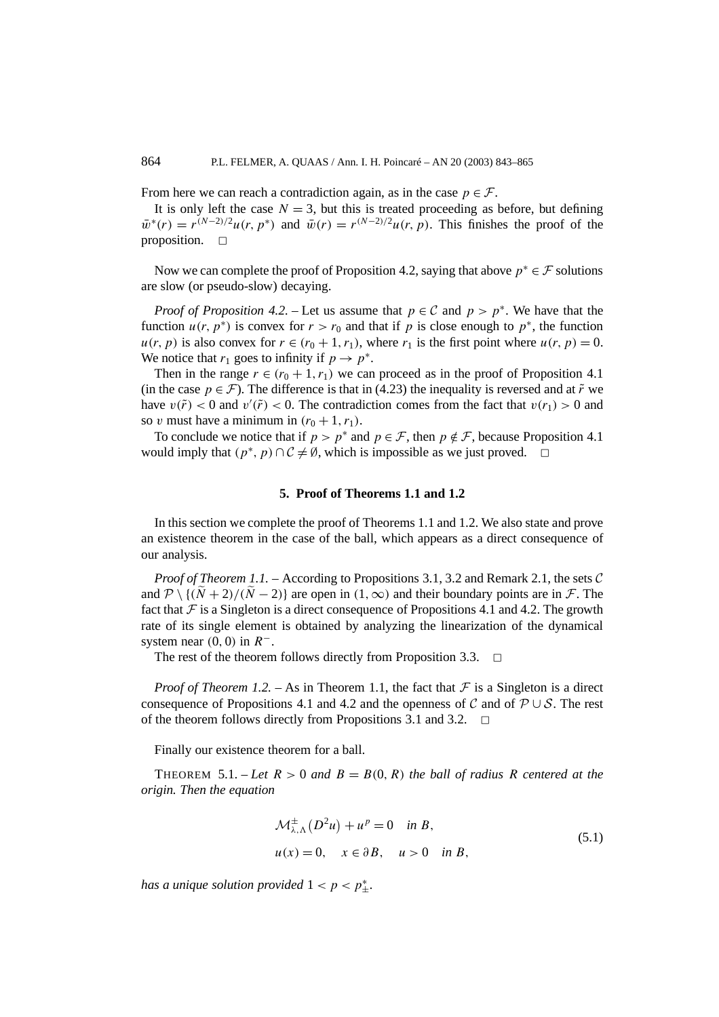From here we can reach a contradiction again, as in the case  $p \in \mathcal{F}$ .

It is only left the case  $N = 3$ , but this is treated proceeding as before, but defining  $\bar{w}^*(r) = r^{(N-2)/2}u(r, p^*)$  and  $\bar{w}(r) = r^{(N-2)/2}u(r, p)$ . This finishes the proof of the proposition.  $\square$ 

Now we can complete the proof of Proposition 4.2, saying that above  $p^* \in \mathcal{F}$  solutions are slow (or pseudo-slow) decaying.

*Proof of Proposition 4.2.* – Let us assume that  $p \in C$  and  $p > p^*$ . We have that the function  $u(r, p^*)$  is convex for  $r > r_0$  and that if p is close enough to  $p^*$ , the function  $u(r, p)$  is also convex for  $r \in (r_0 + 1, r_1)$ , where  $r_1$  is the first point where  $u(r, p) = 0$ . We notice that  $r_1$  goes to infinity if  $p \to p^*$ .

Then in the range  $r \in (r_0 + 1, r_1)$  we can proceed as in the proof of Proposition 4.1 (in the case  $p \in \mathcal{F}$ ). The difference is that in (4.23) the inequality is reversed and at  $\tilde{r}$  we have  $v(\tilde{r}) < 0$  and  $v'(\tilde{r}) < 0$ . The contradiction comes from the fact that  $v(r_1) > 0$  and so *v* must have a minimum in  $(r_0 + 1, r_1)$ .

To conclude we notice that if  $p > p^*$  and  $p \in \mathcal{F}$ , then  $p \notin \mathcal{F}$ , because Proposition 4.1 would imply that  $(p^*, p) \cap C \neq \emptyset$ , which is impossible as we just proved.  $\Box$ 

### **5. Proof of Theorems 1.1 and 1.2**

In this section we complete the proof of Theorems 1.1 and 1.2. We also state and prove an existence theorem in the case of the ball, which appears as a direct consequence of our analysis.

*Proof of Theorem 1.1.* – According to Propositions 3.1, 3.2 and Remark 2.1, the sets C and  $\mathcal{P} \setminus \{(\tilde{N} + 2)/(\tilde{N} - 2)\}\$ are open in  $(1, \infty)$  and their boundary points are in  $\mathcal{F}$ . The fact that  $F$  is a Singleton is a direct consequence of Propositions 4.1 and 4.2. The growth rate of its single element is obtained by analyzing the linearization of the dynamical system near  $(0, 0)$  in  $R^-$ .

The rest of the theorem follows directly from Proposition 3.3.  $\Box$ 

*Proof of Theorem 1.2.* – As in Theorem 1.1, the fact that  $\mathcal F$  is a Singleton is a direct consequence of Propositions 4.1 and 4.2 and the openness of C and of  $\mathcal{P} \cup \mathcal{S}$ . The rest of the theorem follows directly from Propositions 3.1 and 3.2.  $\Box$ 

Finally our existence theorem for a ball.

THEOREM 5.1. – Let  $R > 0$  and  $B = B(0, R)$  the ball of radius R centered at the *origin. Then the equation*

$$
\mathcal{M}^{\pm}_{\lambda,\Lambda}(D^2u) + u^p = 0 \quad \text{in } B,
$$
  
 
$$
u(x) = 0, \quad x \in \partial B, \quad u > 0 \quad \text{in } B,
$$
 (5.1)

*has a unique solution provided*  $1 < p < p^*_{\pm}$ .